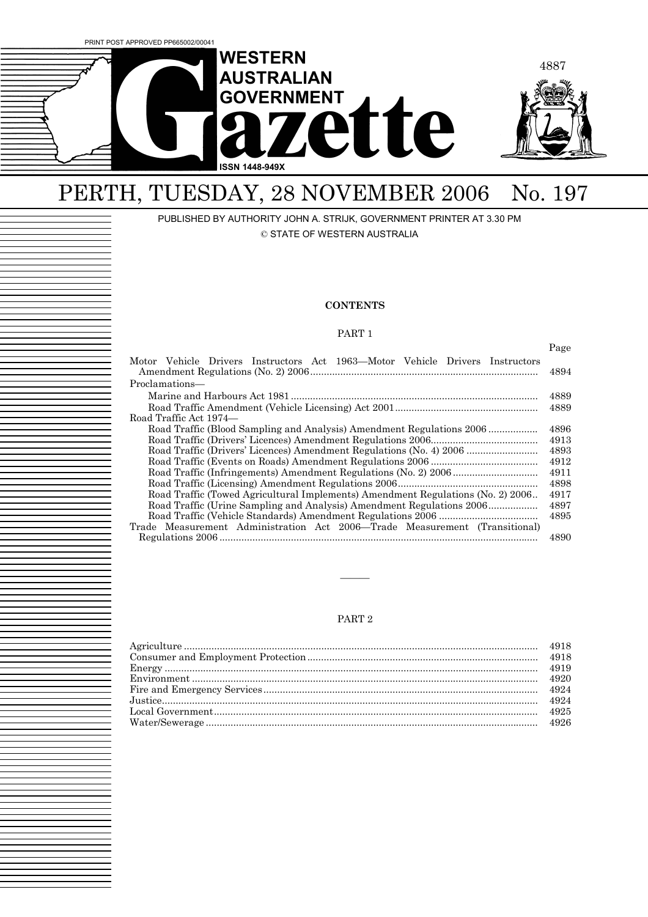

# PERTH, TUESDAY, 28 NOVEMBER 2006 No. 197

PUBLISHED BY AUTHORITY JOHN A. STRIJK, GOVERNMENT PRINTER AT 3.30 PM

© STATE OF WESTERN AUSTRALIA

### **CONTENTS**

### PART 1

|                                                                                  | Page |  |
|----------------------------------------------------------------------------------|------|--|
| Motor Vehicle Drivers Instructors Act 1963—Motor Vehicle Drivers Instructors     | 4894 |  |
| Proclamations—                                                                   |      |  |
|                                                                                  | 4889 |  |
|                                                                                  | 4889 |  |
| Road Traffic Act 1974—                                                           |      |  |
| Road Traffic (Blood Sampling and Analysis) Amendment Regulations 2006            | 4896 |  |
|                                                                                  | 4913 |  |
| Road Traffic (Drivers' Licences) Amendment Regulations (No. 4) 2006              | 4893 |  |
|                                                                                  | 4912 |  |
|                                                                                  | 4911 |  |
|                                                                                  | 4898 |  |
| Road Traffic (Towed Agricultural Implements) Amendment Regulations (No. 2) 2006. | 4917 |  |
| Road Traffic (Urine Sampling and Analysis) Amendment Regulations 2006<br>4897    |      |  |
| 4895                                                                             |      |  |
| Trade Measurement Administration Act 2006—Trade Measurement (Transitional)       |      |  |
|                                                                                  | 4890 |  |

### PART 2

———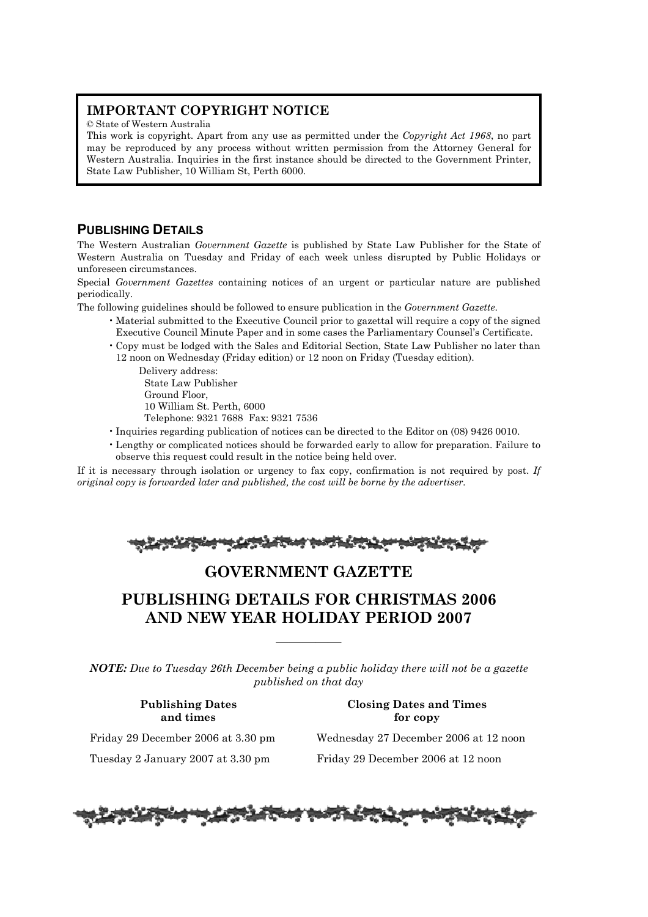### **IMPORTANT COPYRIGHT NOTICE**

© State of Western Australia

This work is copyright. Apart from any use as permitted under the *Copyright Act 1968*, no part may be reproduced by any process without written permission from the Attorney General for Western Australia. Inquiries in the first instance should be directed to the Government Printer, State Law Publisher, 10 William St, Perth 6000.

## **PUBLISHING DETAILS**

The Western Australian *Government Gazette* is published by State Law Publisher for the State of Western Australia on Tuesday and Friday of each week unless disrupted by Public Holidays or unforeseen circumstances.

Special *Government Gazettes* containing notices of an urgent or particular nature are published periodically.

The following guidelines should be followed to ensure publication in the *Government Gazette*.

- Material submitted to the Executive Council prior to gazettal will require a copy of the signed Executive Council Minute Paper and in some cases the Parliamentary Counsel's Certificate.
- Copy must be lodged with the Sales and Editorial Section, State Law Publisher no later than 12 noon on Wednesday (Friday edition) or 12 noon on Friday (Tuesday edition).

Delivery address: State Law Publisher Ground Floor, 10 William St. Perth, 6000 Telephone: 9321 7688 Fax: 9321 7536

- Inquiries regarding publication of notices can be directed to the Editor on (08) 9426 0010.
- Lengthy or complicated notices should be forwarded early to allow for preparation. Failure to observe this request could result in the notice being held over.

If it is necessary through isolation or urgency to fax copy, confirmation is not required by post. *If original copy is forwarded later and published, the cost will be borne by the advertiser.* 

|--|--|

## **GOVERNMENT GAZETTE**

## **PUBLISHING DETAILS FOR CHRISTMAS 2006 AND NEW YEAR HOLIDAY PERIOD 2007**

*NOTE: Due to Tuesday 26th December being a public holiday there will not be a gazette published on that day*

—————

### **Publishing Dates Closing Dates and Times and times** for copy

Friday 29 December 2006 at 3.30 pm Wednesday 27 December 2006 at 12 noon Tuesday 2 January 2007 at 3.30 pm Friday 29 December 2006 at 12 noon

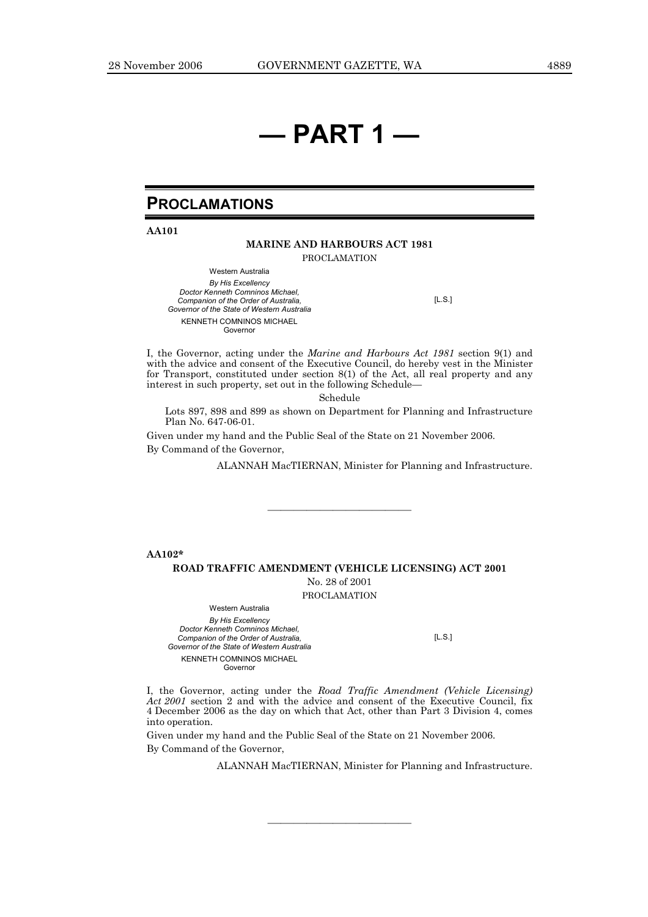# **— PART 1 —**

## **PROCLAMATIONS**

**AA101** 

### **MARINE AND HARBOURS ACT 1981**

PROCLAMATION

Western Australia *By His Excellency Doctor Kenneth Comninos Michael, Companion of the Order of Australia, Governor of the State of Western Australia*  KENNETH COMNINOS MICHAEL Governor

[L.S.]

I, the Governor, acting under the *Marine and Harbours Act 1981* section 9(1) and with the advice and consent of the Executive Council, do hereby vest in the Minister for Transport, constituted under section 8(1) of the Act, all real property and any interest in such property, set out in the following Schedule—

Schedule

Lots 897, 898 and 899 as shown on Department for Planning and Infrastructure Plan No. 647-06-01.

Given under my hand and the Public Seal of the State on 21 November 2006. By Command of the Governor,

ALANNAH MacTIERNAN, Minister for Planning and Infrastructure.

**AA102\*** 

#### **ROAD TRAFFIC AMENDMENT (VEHICLE LICENSING) ACT 2001**

No. 28 of 2001

———————————

PROCLAMATION

Western Australia *By His Excellency Doctor Kenneth Comninos Michael, Companion of the Order of Australia, Governor of the State of Western Australia*  KENNETH COMNINOS MICHAEL Governor

[L.S.]

I, the Governor, acting under the *Road Traffic Amendment (Vehicle Licensing) Act 2001* section 2 and with the advice and consent of the Executive Council, fix 4 December 2006 as the day on which that Act, other than Part 3 Division 4, comes into operation.

———————————

Given under my hand and the Public Seal of the State on 21 November 2006. By Command of the Governor,

ALANNAH MacTIERNAN, Minister for Planning and Infrastructure.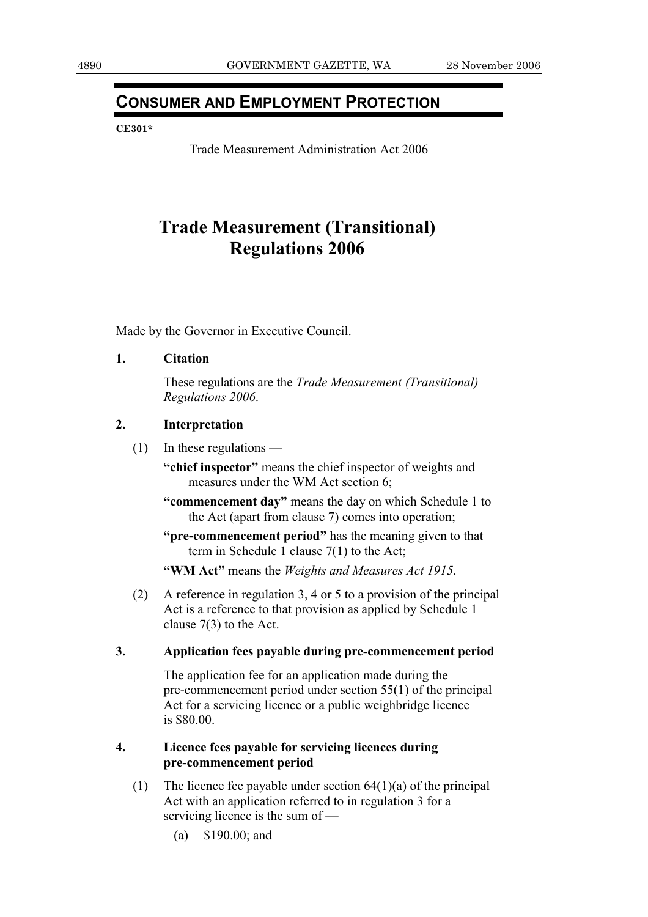## **CONSUMER AND EMPLOYMENT PROTECTION**

### **CE301\***

Trade Measurement Administration Act 2006

## **Trade Measurement (Transitional) Regulations 2006**

Made by the Governor in Executive Council.

**1. Citation** 

 These regulations are the *Trade Measurement (Transitional) Regulations 2006*.

### **2. Interpretation**

(1) In these regulations —

**"chief inspector"** means the chief inspector of weights and measures under the WM Act section 6;

**"commencement day"** means the day on which Schedule 1 to the Act (apart from clause 7) comes into operation;

**"pre-commencement period"** has the meaning given to that term in Schedule 1 clause 7(1) to the Act;

**"WM Act"** means the *Weights and Measures Act 1915*.

 (2) A reference in regulation 3, 4 or 5 to a provision of the principal Act is a reference to that provision as applied by Schedule 1 clause 7(3) to the Act.

### **3. Application fees payable during pre-commencement period**

 The application fee for an application made during the pre-commencement period under section 55(1) of the principal Act for a servicing licence or a public weighbridge licence is \$80.00.

### **4. Licence fees payable for servicing licences during pre-commencement period**

- (1) The licence fee payable under section  $64(1)(a)$  of the principal Act with an application referred to in regulation 3 for a servicing licence is the sum of —
	- (a) \$190.00; and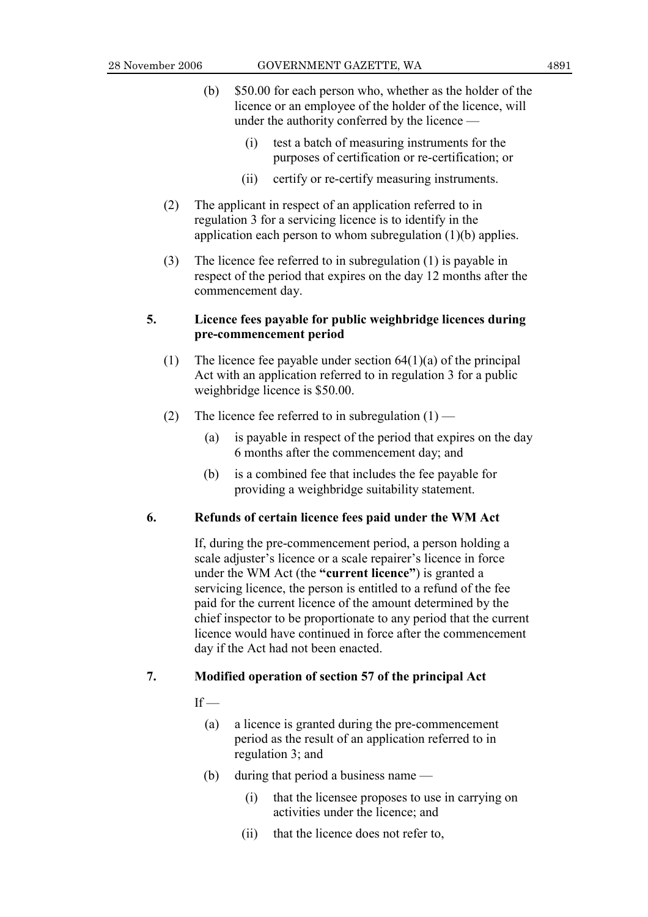- (b) \$50.00 for each person who, whether as the holder of the licence or an employee of the holder of the licence, will under the authority conferred by the licence —
	- (i) test a batch of measuring instruments for the purposes of certification or re-certification; or
	- (ii) certify or re-certify measuring instruments.
- (2) The applicant in respect of an application referred to in regulation 3 for a servicing licence is to identify in the application each person to whom subregulation (1)(b) applies.
- (3) The licence fee referred to in subregulation (1) is payable in respect of the period that expires on the day 12 months after the commencement day.

### **5. Licence fees payable for public weighbridge licences during pre-commencement period**

- (1) The licence fee payable under section  $64(1)(a)$  of the principal Act with an application referred to in regulation 3 for a public weighbridge licence is \$50.00.
- (2) The licence fee referred to in subregulation  $(1)$ 
	- (a) is payable in respect of the period that expires on the day 6 months after the commencement day; and
	- (b) is a combined fee that includes the fee payable for providing a weighbridge suitability statement.

### **6. Refunds of certain licence fees paid under the WM Act**

 If, during the pre-commencement period, a person holding a scale adjuster's licence or a scale repairer's licence in force under the WM Act (the **"current licence"**) is granted a servicing licence, the person is entitled to a refund of the fee paid for the current licence of the amount determined by the chief inspector to be proportionate to any period that the current licence would have continued in force after the commencement day if the Act had not been enacted.

### **7. Modified operation of section 57 of the principal Act**

### $If -$

- (a) a licence is granted during the pre-commencement period as the result of an application referred to in regulation 3; and
- (b) during that period a business name
	- (i) that the licensee proposes to use in carrying on activities under the licence; and
	- (ii) that the licence does not refer to,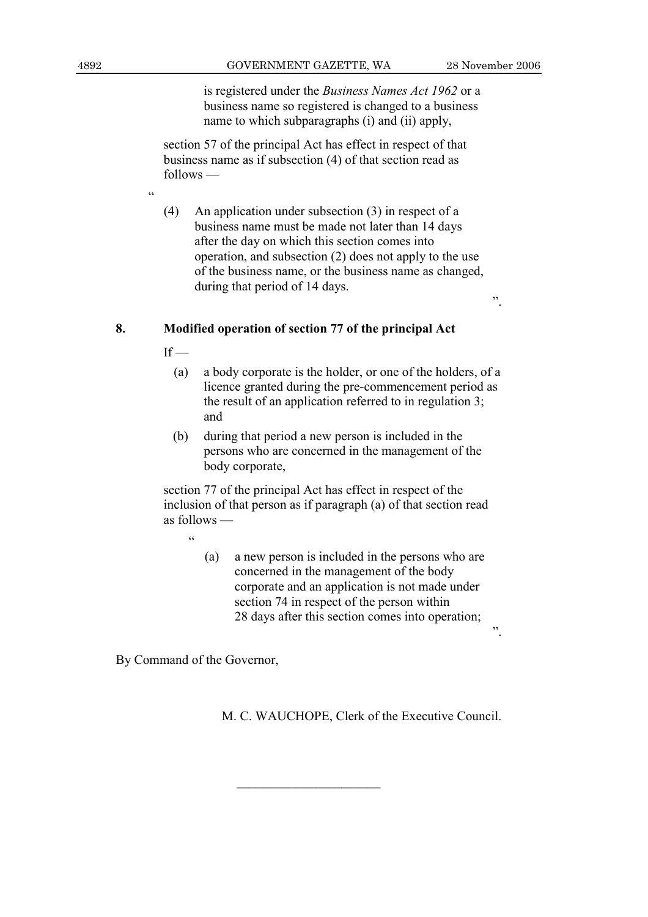".

 is registered under the *Business Names Act 1962* or a business name so registered is changed to a business name to which subparagraphs (i) and (ii) apply,

 section 57 of the principal Act has effect in respect of that business name as if subsection (4) of that section read as follows —

 (4) An application under subsection (3) in respect of a business name must be made not later than 14 days after the day on which this section comes into operation, and subsection (2) does not apply to the use of the business name, or the business name as changed, during that period of 14 days.

### **8. Modified operation of section 77 of the principal Act**

 $If -$ 

 $\epsilon$ 

- (a) a body corporate is the holder, or one of the holders, of a licence granted during the pre-commencement period as the result of an application referred to in regulation 3; and
- (b) during that period a new person is included in the persons who are concerned in the management of the body corporate,

 section 77 of the principal Act has effect in respect of the inclusion of that person as if paragraph (a) of that section read as follows —

"

 (a) a new person is included in the persons who are concerned in the management of the body corporate and an application is not made under section 74 in respect of the person within 28 days after this section comes into operation;

By Command of the Governor,

M. C. WAUCHOPE, Clerk of the Executive Council.

———————————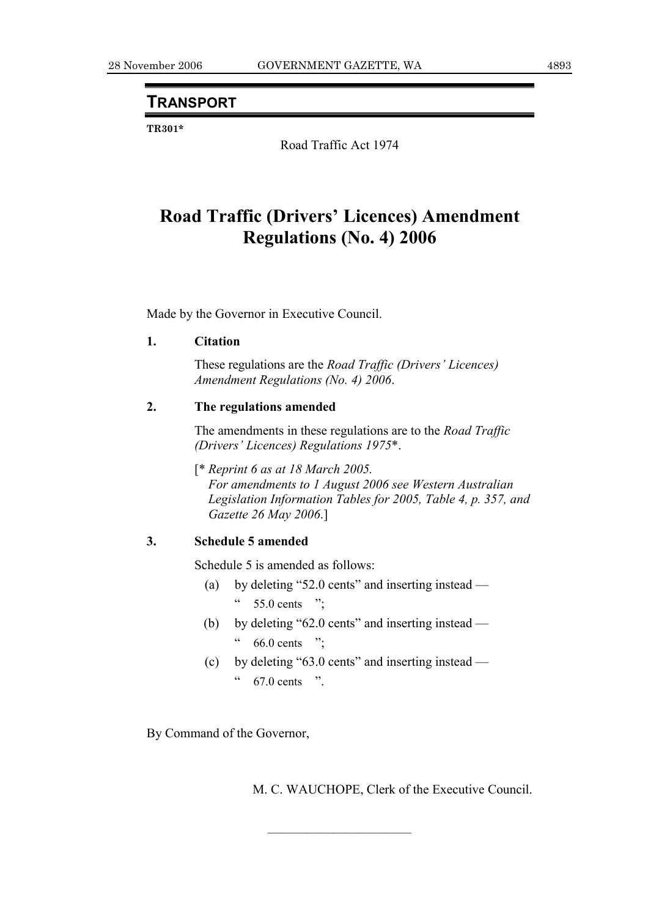## **TRANSPORT**

**TR301\*** 

Road Traffic Act 1974

## **Road Traffic (Drivers' Licences) Amendment Regulations (No. 4) 2006**

Made by the Governor in Executive Council.

### **1. Citation**

 These regulations are the *Road Traffic (Drivers' Licences) Amendment Regulations (No. 4) 2006*.

### **2. The regulations amended**

 The amendments in these regulations are to the *Road Traffic (Drivers' Licences) Regulations 1975*\*.

 [\* *Reprint 6 as at 18 March 2005. For amendments to 1 August 2006 see Western Australian Legislation Information Tables for 2005, Table 4, p. 357, and Gazette 26 May 2006*.]

### **3. Schedule 5 amended**

Schedule 5 is amended as follows:

- (a) by deleting "52.0 cents" and inserting instead  $\degree$  55.0 cents ";
- (b) by deleting "62.0 cents" and inserting instead  $66.0$  cents ";
- (c) by deleting "63.0 cents" and inserting instead  $67.0$  cents ".

———————————

By Command of the Governor,

M. C. WAUCHOPE, Clerk of the Executive Council.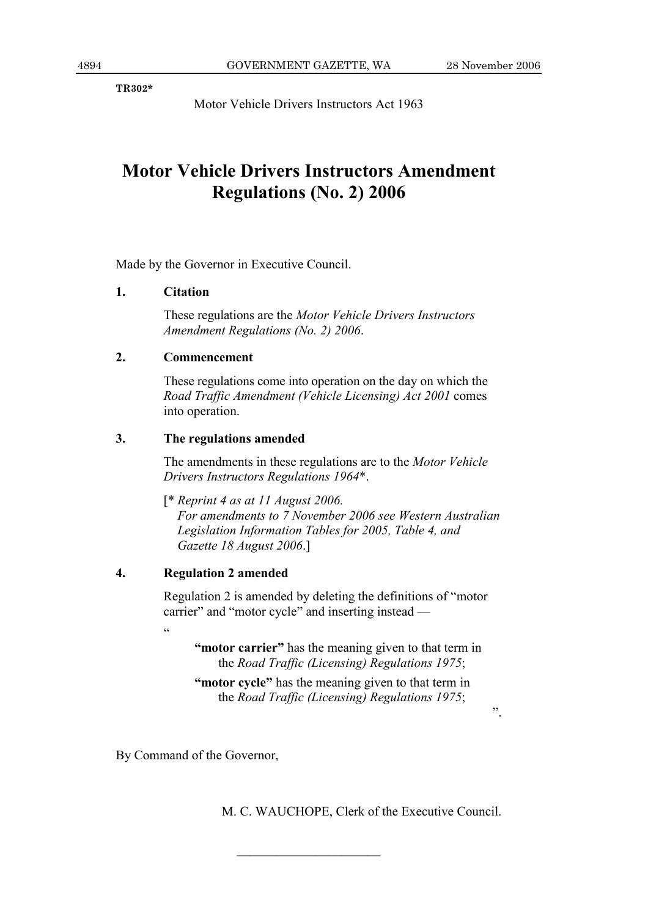**TR302\*** 

Motor Vehicle Drivers Instructors Act 1963

## **Motor Vehicle Drivers Instructors Amendment Regulations (No. 2) 2006**

Made by the Governor in Executive Council.

### **1. Citation**

 These regulations are the *Motor Vehicle Drivers Instructors Amendment Regulations (No. 2) 2006*.

### **2. Commencement**

 These regulations come into operation on the day on which the *Road Traffic Amendment (Vehicle Licensing) Act 2001* comes into operation.

### **3. The regulations amended**

 The amendments in these regulations are to the *Motor Vehicle Drivers Instructors Regulations 1964*\*.

 [\* *Reprint 4 as at 11 August 2006. For amendments to 7 November 2006 see Western Australian Legislation Information Tables for 2005, Table 4, and Gazette 18 August 2006*.]

### **4. Regulation 2 amended**

 Regulation 2 is amended by deleting the definitions of "motor carrier" and "motor cycle" and inserting instead —  $\epsilon$ 

 **"motor carrier"** has the meaning given to that term in the *Road Traffic (Licensing) Regulations 1975*;

**"motor cycle"** has the meaning given to that term in the *Road Traffic (Licensing) Regulations 1975*;

———————————

By Command of the Governor,

M. C. WAUCHOPE, Clerk of the Executive Council.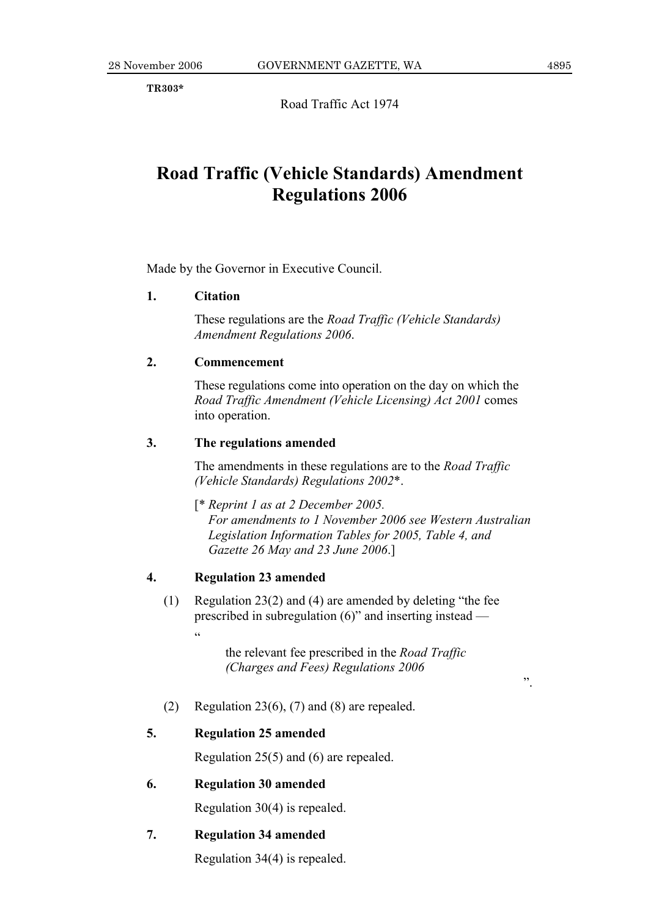**TR303\*** 

Road Traffic Act 1974

## **Road Traffic (Vehicle Standards) Amendment Regulations 2006**

Made by the Governor in Executive Council.

### **1. Citation**

 These regulations are the *Road Traffic (Vehicle Standards) Amendment Regulations 2006*.

### **2. Commencement**

 These regulations come into operation on the day on which the *Road Traffic Amendment (Vehicle Licensing) Act 2001* comes into operation.

### **3. The regulations amended**

 The amendments in these regulations are to the *Road Traffic (Vehicle Standards) Regulations 2002*\*.

 [\* *Reprint 1 as at 2 December 2005. For amendments to 1 November 2006 see Western Australian Legislation Information Tables for 2005, Table 4, and Gazette 26 May and 23 June 2006*.]

### **4. Regulation 23 amended**

.<br>cc

 (1) Regulation 23(2) and (4) are amended by deleting "the fee prescribed in subregulation (6)" and inserting instead —

> the relevant fee prescribed in the *Road Traffic (Charges and Fees) Regulations 2006*

(2) Regulation 23(6), (7) and (8) are repealed.

### **5. Regulation 25 amended**

Regulation 25(5) and (6) are repealed.

### **6. Regulation 30 amended**

Regulation 30(4) is repealed.

### **7. Regulation 34 amended**

Regulation 34(4) is repealed.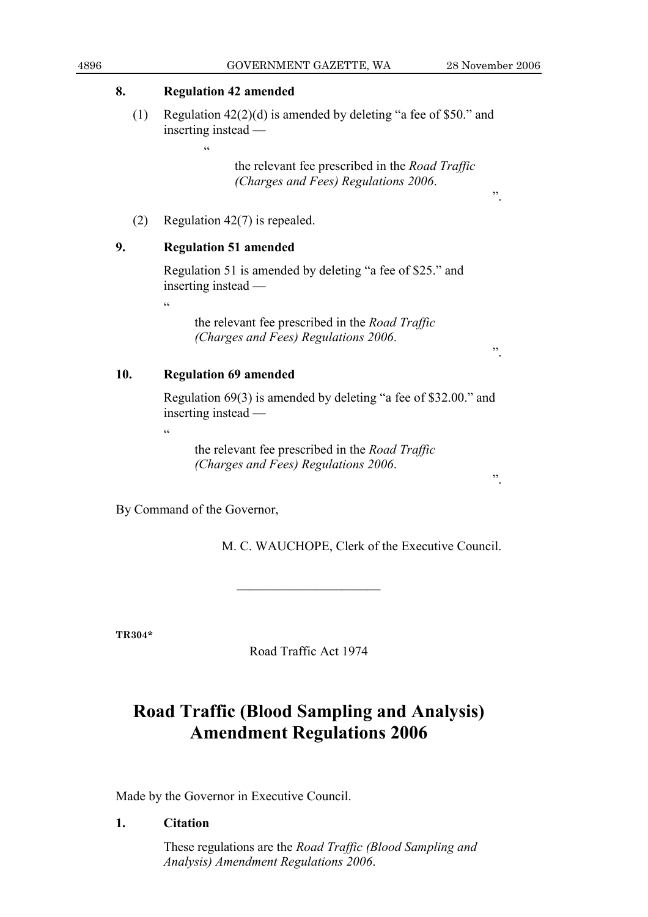### **8. Regulation 42 amended**

 $\epsilon$ 

 (1) Regulation 42(2)(d) is amended by deleting "a fee of \$50." and inserting instead —

> the relevant fee prescribed in the *Road Traffic (Charges and Fees) Regulations 2006*.

(2) Regulation 42(7) is repealed.

## **9. Regulation 51 amended**

 Regulation 51 is amended by deleting "a fee of \$25." and inserting instead —

.<br>.<br>.

 $\epsilon$ 

 the relevant fee prescribed in the *Road Traffic (Charges and Fees) Regulations 2006*.

".

".

### **10. Regulation 69 amended**

 Regulation 69(3) is amended by deleting "a fee of \$32.00." and inserting instead —

 the relevant fee prescribed in the *Road Traffic (Charges and Fees) Regulations 2006*.

By Command of the Governor,

M. C. WAUCHOPE, Clerk of the Executive Council.

**TR304\*** 

Road Traffic Act 1974

———————————

## **Road Traffic (Blood Sampling and Analysis) Amendment Regulations 2006**

Made by the Governor in Executive Council.

**1. Citation** 

 These regulations are the *Road Traffic (Blood Sampling and Analysis) Amendment Regulations 2006*.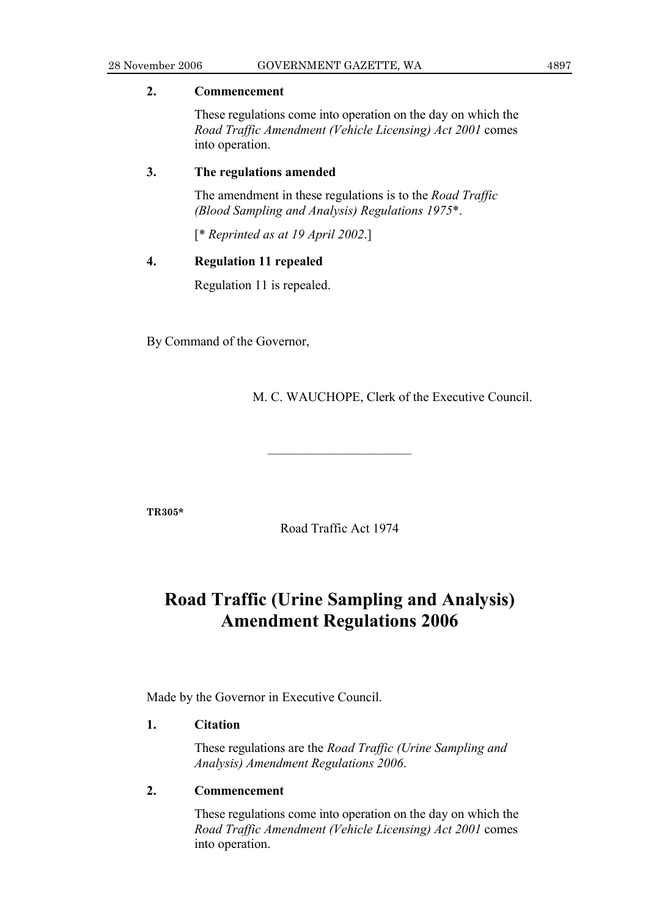### **2. Commencement**

 These regulations come into operation on the day on which the *Road Traffic Amendment (Vehicle Licensing) Act 2001* comes into operation.

### **3. The regulations amended**

 The amendment in these regulations is to the *Road Traffic (Blood Sampling and Analysis) Regulations 1975*\*.

[\* *Reprinted as at 19 April 2002*.]

### **4. Regulation 11 repealed**

Regulation 11 is repealed.

By Command of the Governor,

M. C. WAUCHOPE, Clerk of the Executive Council.

**TR305\*** 

Road Traffic Act 1974

———————————

## **Road Traffic (Urine Sampling and Analysis) Amendment Regulations 2006**

Made by the Governor in Executive Council.

### **1. Citation**

 These regulations are the *Road Traffic (Urine Sampling and Analysis) Amendment Regulations 2006*.

### **2. Commencement**

 These regulations come into operation on the day on which the *Road Traffic Amendment (Vehicle Licensing) Act 2001* comes into operation.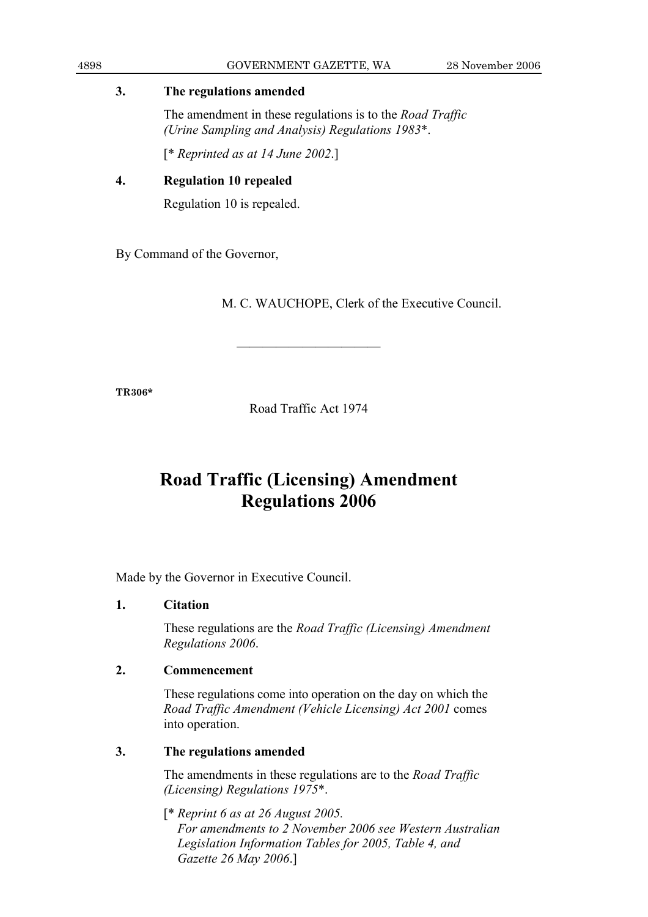### **3. The regulations amended**

 The amendment in these regulations is to the *Road Traffic (Urine Sampling and Analysis) Regulations 1983*\*.

[\* *Reprinted as at 14 June 2002*.]

## **4. Regulation 10 repealed**

Regulation 10 is repealed.

By Command of the Governor,

M. C. WAUCHOPE, Clerk of the Executive Council.

**TR306\*** 

Road Traffic Act 1974

———————————

## **Road Traffic (Licensing) Amendment Regulations 2006**

Made by the Governor in Executive Council.

## **1. Citation**

 These regulations are the *Road Traffic (Licensing) Amendment Regulations 2006*.

## **2. Commencement**

 These regulations come into operation on the day on which the *Road Traffic Amendment (Vehicle Licensing) Act 2001* comes into operation.

## **3. The regulations amended**

 The amendments in these regulations are to the *Road Traffic (Licensing) Regulations 1975*\*.

 [\* *Reprint 6 as at 26 August 2005. For amendments to 2 November 2006 see Western Australian Legislation Information Tables for 2005, Table 4, and Gazette 26 May 2006*.]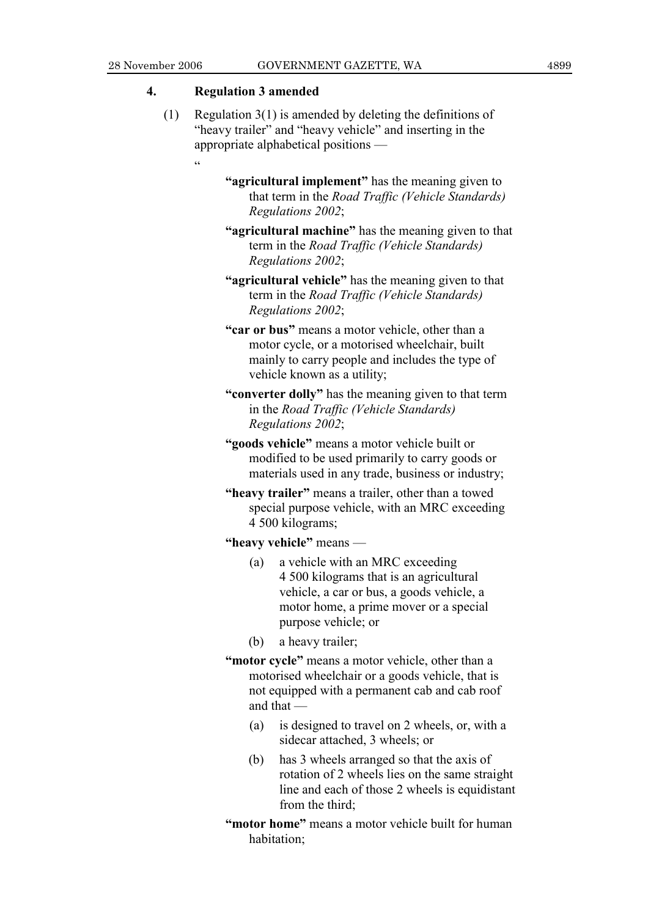### **4. Regulation 3 amended**

.<br>.

- (1) Regulation 3(1) is amended by deleting the definitions of "heavy trailer" and "heavy vehicle" and inserting in the appropriate alphabetical positions —
	- **"agricultural implement"** has the meaning given to that term in the *Road Traffic (Vehicle Standards) Regulations 2002*;
	- **"agricultural machine"** has the meaning given to that term in the *Road Traffic (Vehicle Standards) Regulations 2002*;
	- **"agricultural vehicle"** has the meaning given to that term in the *Road Traffic (Vehicle Standards) Regulations 2002*;
	- **"car or bus"** means a motor vehicle, other than a motor cycle, or a motorised wheelchair, built mainly to carry people and includes the type of vehicle known as a utility;
	- **"converter dolly"** has the meaning given to that term in the *Road Traffic (Vehicle Standards) Regulations 2002*;
	- **"goods vehicle"** means a motor vehicle built or modified to be used primarily to carry goods or materials used in any trade, business or industry;
	- **"heavy trailer"** means a trailer, other than a towed special purpose vehicle, with an MRC exceeding 4 500 kilograms;

**"heavy vehicle"** means —

- (a) a vehicle with an MRC exceeding 4 500 kilograms that is an agricultural vehicle, a car or bus, a goods vehicle, a motor home, a prime mover or a special purpose vehicle; or
- (b) a heavy trailer;
- **"motor cycle"** means a motor vehicle, other than a motorised wheelchair or a goods vehicle, that is not equipped with a permanent cab and cab roof and that —
	- (a) is designed to travel on 2 wheels, or, with a sidecar attached, 3 wheels; or
	- (b) has 3 wheels arranged so that the axis of rotation of 2 wheels lies on the same straight line and each of those 2 wheels is equidistant from the third;
- **"motor home"** means a motor vehicle built for human habitation;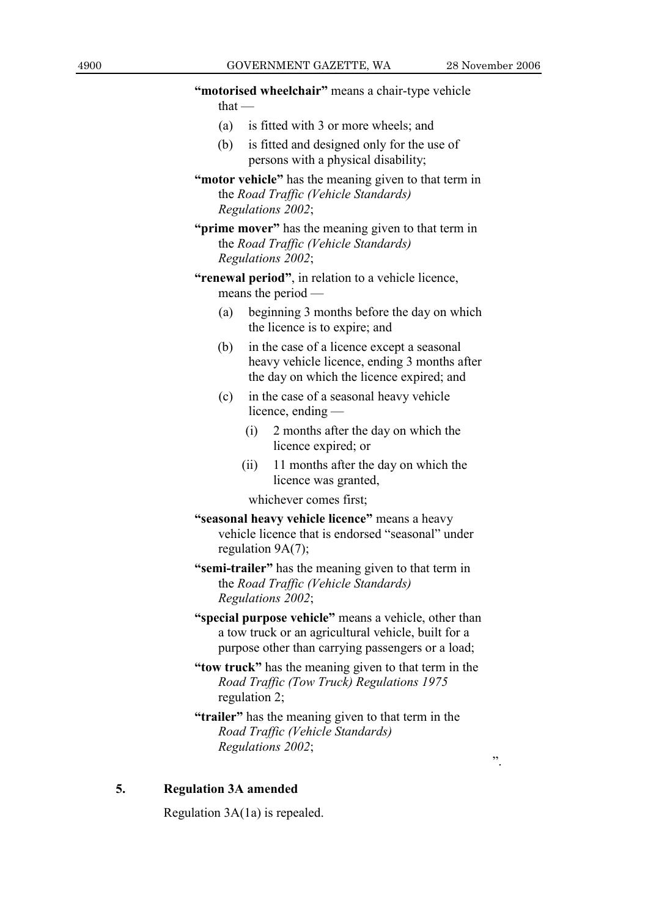4900 GOVERNMENT GAZETTE, WA 28 November 2006 **"motorised wheelchair"** means a chair-type vehicle that — (a) is fitted with 3 or more wheels; and (b) is fitted and designed only for the use of persons with a physical disability; **"motor vehicle"** has the meaning given to that term in the *Road Traffic (Vehicle Standards) Regulations 2002*; **"prime mover"** has the meaning given to that term in the *Road Traffic (Vehicle Standards) Regulations 2002*;  **"renewal period"**, in relation to a vehicle licence, means the period — (a) beginning 3 months before the day on which the licence is to expire; and (b) in the case of a licence except a seasonal heavy vehicle licence, ending 3 months after the day on which the licence expired; and (c) in the case of a seasonal heavy vehicle licence, ending — (i) 2 months after the day on which the licence expired; or (ii) 11 months after the day on which the licence was granted, whichever comes first;  **"seasonal heavy vehicle licence"** means a heavy vehicle licence that is endorsed "seasonal" under regulation 9A(7); **"semi-trailer"** has the meaning given to that term in the *Road Traffic (Vehicle Standards) Regulations 2002*; **"special purpose vehicle"** means a vehicle, other than a tow truck or an agricultural vehicle, built for a purpose other than carrying passengers or a load;  **"tow truck"** has the meaning given to that term in the *Road Traffic (Tow Truck) Regulations 1975* regulation 2; **"trailer"** has the meaning given to that term in the *Road Traffic (Vehicle Standards) Regulations 2002*; **5. Regulation 3A amended** 

Regulation 3A(1a) is repealed.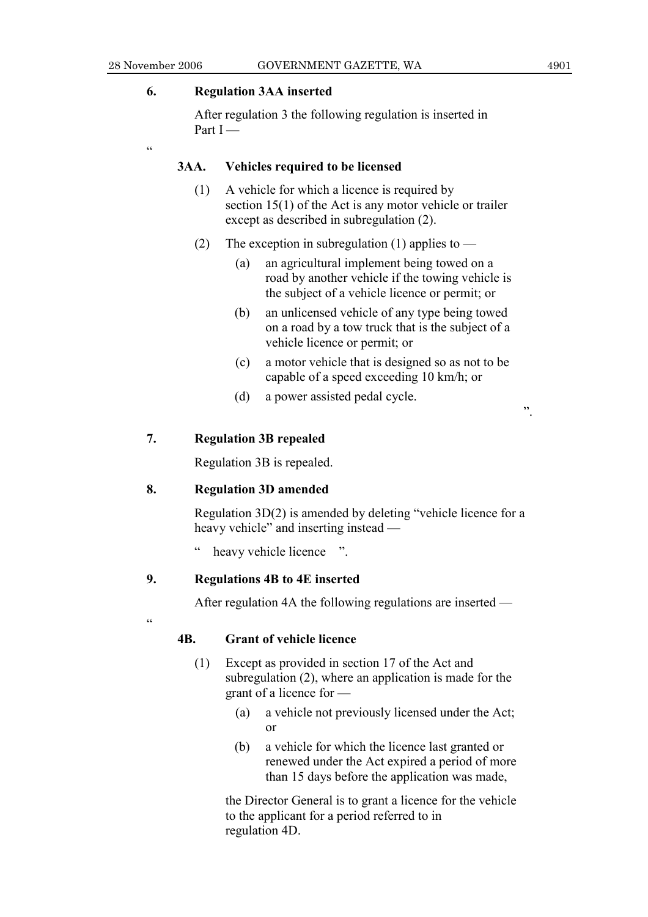.<br>.

### **6. Regulation 3AA inserted**

 After regulation 3 the following regulation is inserted in Part I —

**3AA. Vehicles required to be licensed** 

- (1) A vehicle for which a licence is required by section 15(1) of the Act is any motor vehicle or trailer except as described in subregulation (2).
- (2) The exception in subregulation (1) applies to  $-$ 
	- (a) an agricultural implement being towed on a road by another vehicle if the towing vehicle is the subject of a vehicle licence or permit; or
	- (b) an unlicensed vehicle of any type being towed on a road by a tow truck that is the subject of a vehicle licence or permit; or
	- (c) a motor vehicle that is designed so as not to be capable of a speed exceeding 10 km/h; or
	- (d) a power assisted pedal cycle.

### **7. Regulation 3B repealed**

Regulation 3B is repealed.

### **8. Regulation 3D amended**

 Regulation 3D(2) is amended by deleting "vehicle licence for a heavy vehicle" and inserting instead —

heavy vehicle licence ".

### **9. Regulations 4B to 4E inserted**

After regulation 4A the following regulations are inserted —

"

### **4B. Grant of vehicle licence**

- (1) Except as provided in section 17 of the Act and subregulation (2), where an application is made for the grant of a licence for —
	- (a) a vehicle not previously licensed under the Act; or
	- (b) a vehicle for which the licence last granted or renewed under the Act expired a period of more than 15 days before the application was made,

 the Director General is to grant a licence for the vehicle to the applicant for a period referred to in regulation 4D.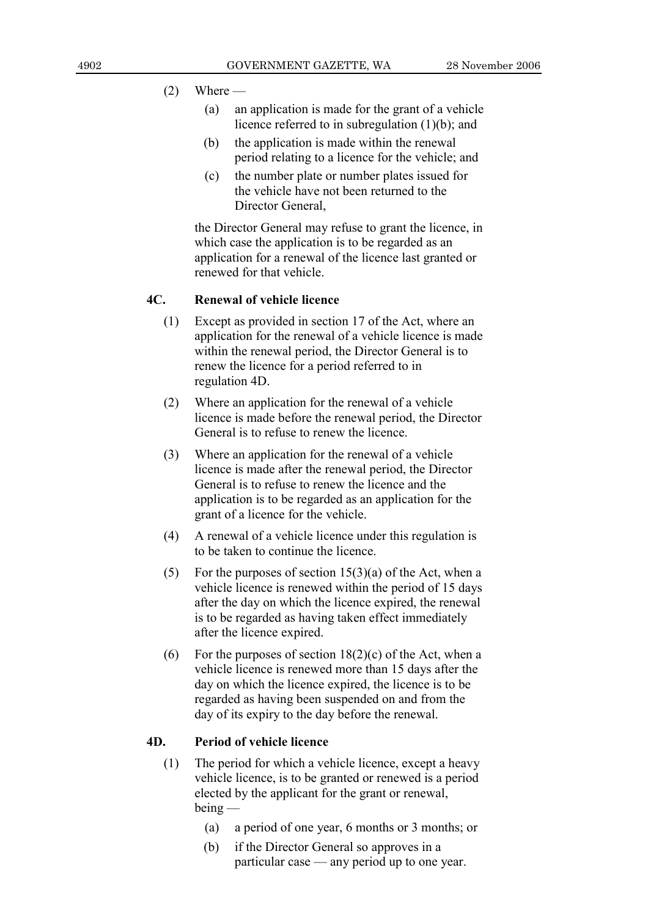### $(2)$  Where —

- (a) an application is made for the grant of a vehicle licence referred to in subregulation (1)(b); and
- (b) the application is made within the renewal period relating to a licence for the vehicle; and
- (c) the number plate or number plates issued for the vehicle have not been returned to the Director General

 the Director General may refuse to grant the licence, in which case the application is to be regarded as an application for a renewal of the licence last granted or renewed for that vehicle.

### **4C. Renewal of vehicle licence**

- (1) Except as provided in section 17 of the Act, where an application for the renewal of a vehicle licence is made within the renewal period, the Director General is to renew the licence for a period referred to in regulation 4D.
- (2) Where an application for the renewal of a vehicle licence is made before the renewal period, the Director General is to refuse to renew the licence.
- (3) Where an application for the renewal of a vehicle licence is made after the renewal period, the Director General is to refuse to renew the licence and the application is to be regarded as an application for the grant of a licence for the vehicle.
- (4) A renewal of a vehicle licence under this regulation is to be taken to continue the licence.
- (5) For the purposes of section  $15(3)(a)$  of the Act, when a vehicle licence is renewed within the period of 15 days after the day on which the licence expired, the renewal is to be regarded as having taken effect immediately after the licence expired.
- (6) For the purposes of section  $18(2)(c)$  of the Act, when a vehicle licence is renewed more than 15 days after the day on which the licence expired, the licence is to be regarded as having been suspended on and from the day of its expiry to the day before the renewal.

### **4D. Period of vehicle licence**

- (1) The period for which a vehicle licence, except a heavy vehicle licence, is to be granted or renewed is a period elected by the applicant for the grant or renewal, being —
	- (a) a period of one year, 6 months or 3 months; or
	- (b) if the Director General so approves in a particular case — any period up to one year.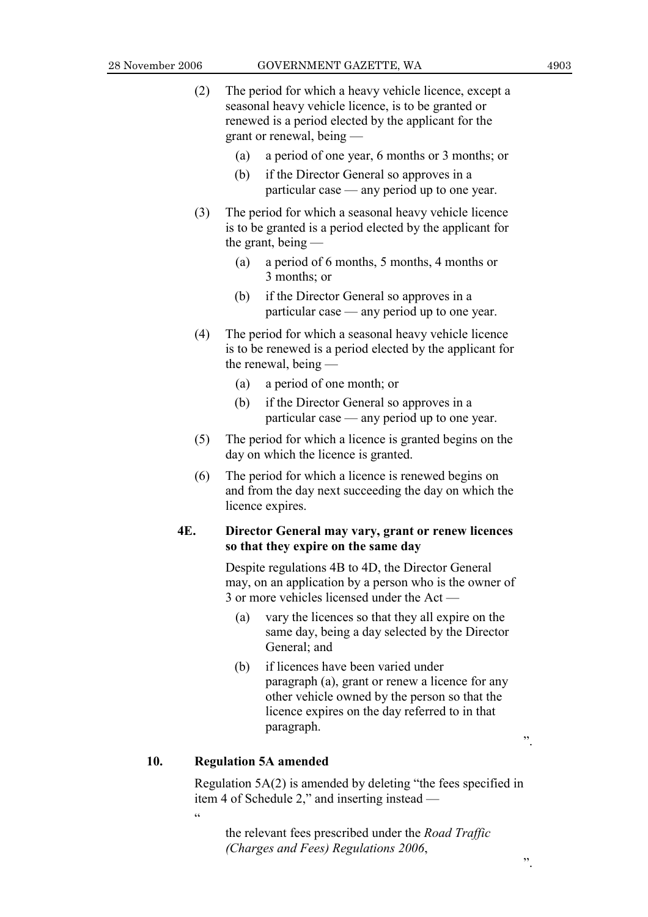- 
- (2) The period for which a heavy vehicle licence, except a seasonal heavy vehicle licence, is to be granted or renewed is a period elected by the applicant for the grant or renewal, being —
	- (a) a period of one year, 6 months or 3 months; or
	- (b) if the Director General so approves in a particular case — any period up to one year.
- (3) The period for which a seasonal heavy vehicle licence is to be granted is a period elected by the applicant for the grant, being —
	- (a) a period of 6 months, 5 months, 4 months or 3 months; or
	- (b) if the Director General so approves in a particular case — any period up to one year.
- (4) The period for which a seasonal heavy vehicle licence is to be renewed is a period elected by the applicant for the renewal, being —
	- (a) a period of one month; or
	- (b) if the Director General so approves in a particular case — any period up to one year.
- (5) The period for which a licence is granted begins on the day on which the licence is granted.
- (6) The period for which a licence is renewed begins on and from the day next succeeding the day on which the licence expires.

### **4E. Director General may vary, grant or renew licences so that they expire on the same day**

 Despite regulations 4B to 4D, the Director General may, on an application by a person who is the owner of 3 or more vehicles licensed under the Act —

- (a) vary the licences so that they all expire on the same day, being a day selected by the Director General; and
- (b) if licences have been varied under paragraph (a), grant or renew a licence for any other vehicle owned by the person so that the licence expires on the day referred to in that paragraph.

### **10. Regulation 5A amended**

.<br>.<br>.

 Regulation 5A(2) is amended by deleting "the fees specified in item 4 of Schedule 2," and inserting instead —

 the relevant fees prescribed under the *Road Traffic (Charges and Fees) Regulations 2006*,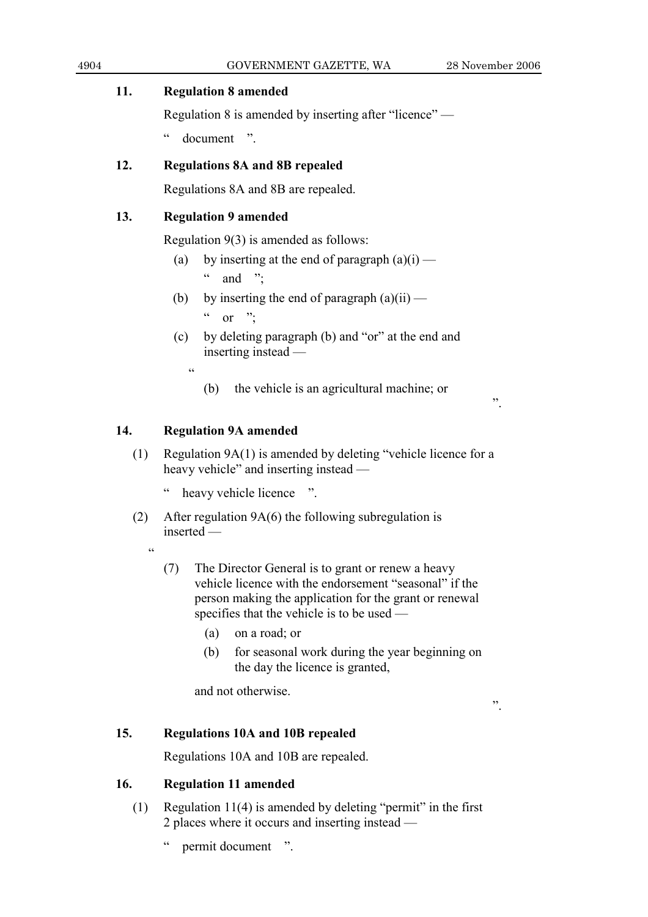## **11. Regulation 8 amended**

Regulation 8 is amended by inserting after "licence" —

" document ".

## **12. Regulations 8A and 8B repealed**

Regulations 8A and 8B are repealed.

## **13. Regulation 9 amended**

Regulation 9(3) is amended as follows:

- (a) by inserting at the end of paragraph  $(a)(i)$   $\alpha$  and ":
- (b) by inserting the end of paragraph  $(a)(ii)$ 
	- $\alpha$  or ".
- (c) by deleting paragraph (b) and "or" at the end and inserting instead —

 $\alpha$ 

(b) the vehicle is an agricultural machine; or

## **14. Regulation 9A amended**

 (1) Regulation 9A(1) is amended by deleting "vehicle licence for a heavy vehicle" and inserting instead —

heavy vehicle licence ".

- (2) After regulation 9A(6) the following subregulation is inserted —
	- .<br>44
- (7) The Director General is to grant or renew a heavy vehicle licence with the endorsement "seasonal" if the person making the application for the grant or renewal specifies that the vehicle is to be used —
	- (a) on a road; or
	- (b) for seasonal work during the year beginning on the day the licence is granted,

and not otherwise.

".

".

## **15. Regulations 10A and 10B repealed**

Regulations 10A and 10B are repealed.

## **16. Regulation 11 amended**

 (1) Regulation 11(4) is amended by deleting "permit" in the first 2 places where it occurs and inserting instead —

" permit document ".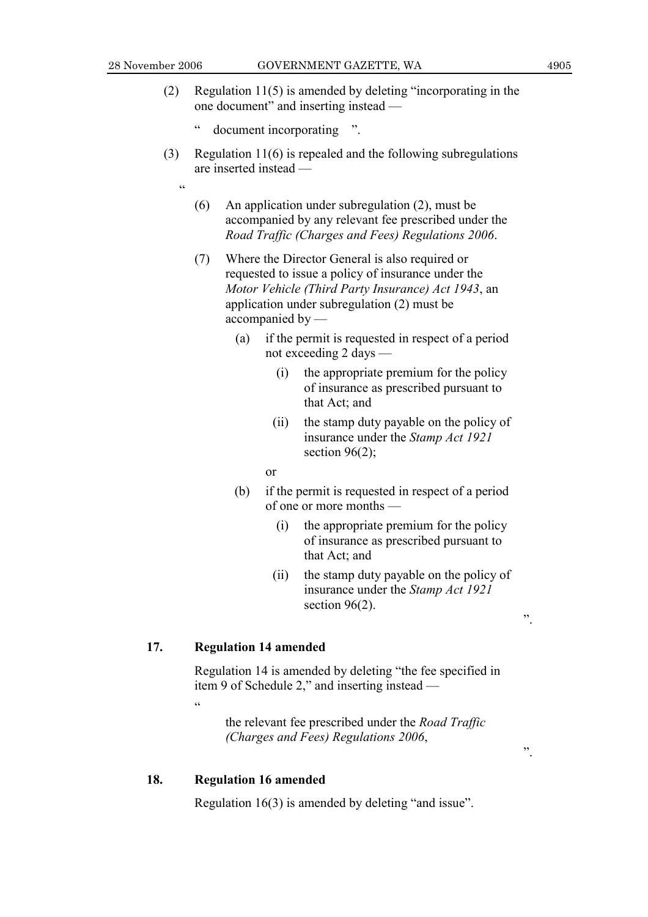.<br>44

- (2) Regulation 11(5) is amended by deleting "incorporating in the one document" and inserting instead —
	- " document incorporating ".
- (3) Regulation 11(6) is repealed and the following subregulations are inserted instead —
	- (6) An application under subregulation (2), must be accompanied by any relevant fee prescribed under the *Road Traffic (Charges and Fees) Regulations 2006*.
	- (7) Where the Director General is also required or requested to issue a policy of insurance under the *Motor Vehicle (Third Party Insurance) Act 1943*, an application under subregulation (2) must be accompanied by —
		- (a) if the permit is requested in respect of a period not exceeding 2 days —
			- (i) the appropriate premium for the policy of insurance as prescribed pursuant to that Act; and
			- (ii) the stamp duty payable on the policy of insurance under the *Stamp Act 1921* section  $96(2)$ ;

or

- (b) if the permit is requested in respect of a period of one or more months —
	- (i) the appropriate premium for the policy of insurance as prescribed pursuant to that Act; and
	- (ii) the stamp duty payable on the policy of insurance under the *Stamp Act 1921* section 96(2).

".

".

### **17. Regulation 14 amended**

 Regulation 14 is amended by deleting "the fee specified in item 9 of Schedule 2," and inserting instead —

"

 the relevant fee prescribed under the *Road Traffic (Charges and Fees) Regulations 2006*,

### **18. Regulation 16 amended**

Regulation 16(3) is amended by deleting "and issue".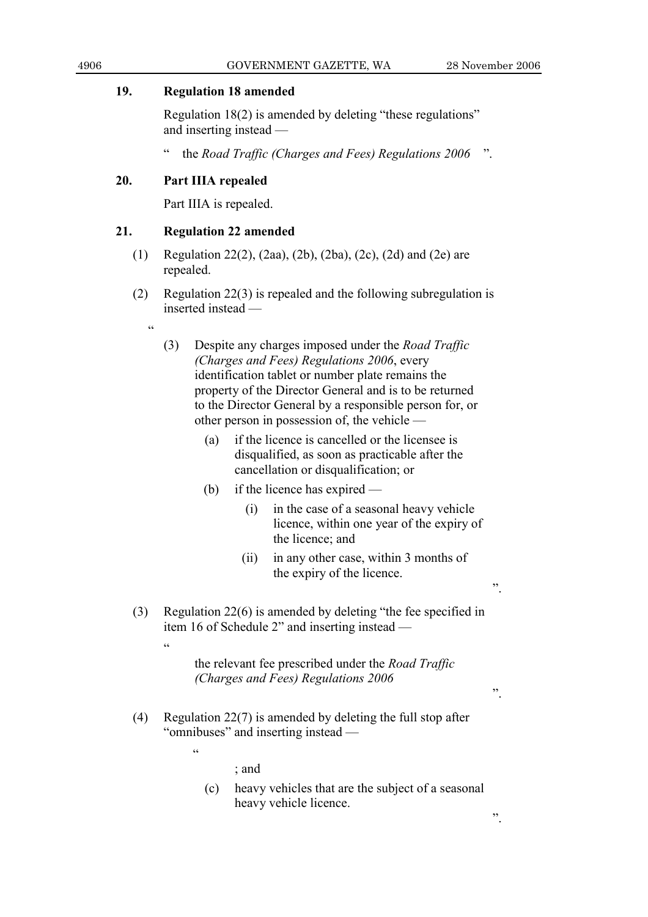".

".

### **19. Regulation 18 amended**

 Regulation 18(2) is amended by deleting "these regulations" and inserting instead —

" the *Road Traffic (Charges and Fees) Regulations 2006* ".

## **20. Part IIIA repealed**

 $\epsilon$ 

Part IIIA is repealed.

### **21. Regulation 22 amended**

- (1) Regulation 22(2), (2aa), (2b), (2ba), (2c), (2d) and (2e) are repealed.
- (2) Regulation 22(3) is repealed and the following subregulation is inserted instead —
	- (3) Despite any charges imposed under the *Road Traffic (Charges and Fees) Regulations 2006*, every identification tablet or number plate remains the property of the Director General and is to be returned to the Director General by a responsible person for, or other person in possession of, the vehicle —
		- (a) if the licence is cancelled or the licensee is disqualified, as soon as practicable after the cancellation or disqualification; or
		- (b) if the licence has expired
			- (i) in the case of a seasonal heavy vehicle licence, within one year of the expiry of the licence; and
			- (ii) in any other case, within 3 months of the expiry of the licence.
- (3) Regulation 22(6) is amended by deleting "the fee specified in item 16 of Schedule 2" and inserting instead —

 the relevant fee prescribed under the *Road Traffic (Charges and Fees) Regulations 2006*

 (4) Regulation 22(7) is amended by deleting the full stop after "omnibuses" and inserting instead —

.<br>..

 $\epsilon$ 

; and

 (c) heavy vehicles that are the subject of a seasonal heavy vehicle licence.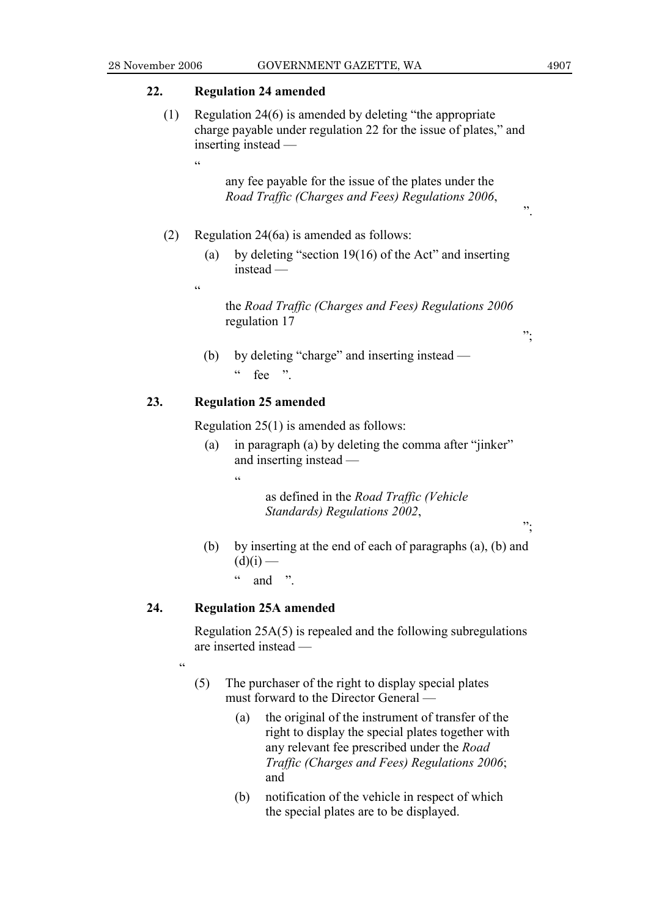$\cdot$ ";

";

### **22. Regulation 24 amended**

 (1) Regulation 24(6) is amended by deleting "the appropriate charge payable under regulation 22 for the issue of plates," and inserting instead —

> any fee payable for the issue of the plates under the *Road Traffic (Charges and Fees) Regulations 2006*,

### (2) Regulation 24(6a) is amended as follows:

 (a) by deleting "section 19(16) of the Act" and inserting instead —

 $\epsilon$ 

.<br>.<br>.

 the *Road Traffic (Charges and Fees) Regulations 2006* regulation 17

 (b) by deleting "charge" and inserting instead —  $\frac{1}{2}$  fee "

### **23. Regulation 25 amended**

Regulation 25(1) is amended as follows:

- (a) in paragraph (a) by deleting the comma after "jinker" and inserting instead —
	- $\epsilon$

 as defined in the *Road Traffic (Vehicle Standards) Regulations 2002*,

 (b) by inserting at the end of each of paragraphs (a), (b) and  $(d)(i)$  —  $\frac{1}{2}$  and "

### **24. Regulation 25A amended**

<u>،</u>

 Regulation 25A(5) is repealed and the following subregulations are inserted instead —

- (5) The purchaser of the right to display special plates must forward to the Director General —
	- (a) the original of the instrument of transfer of the right to display the special plates together with any relevant fee prescribed under the *Road Traffic (Charges and Fees) Regulations 2006*; and
	- (b) notification of the vehicle in respect of which the special plates are to be displayed.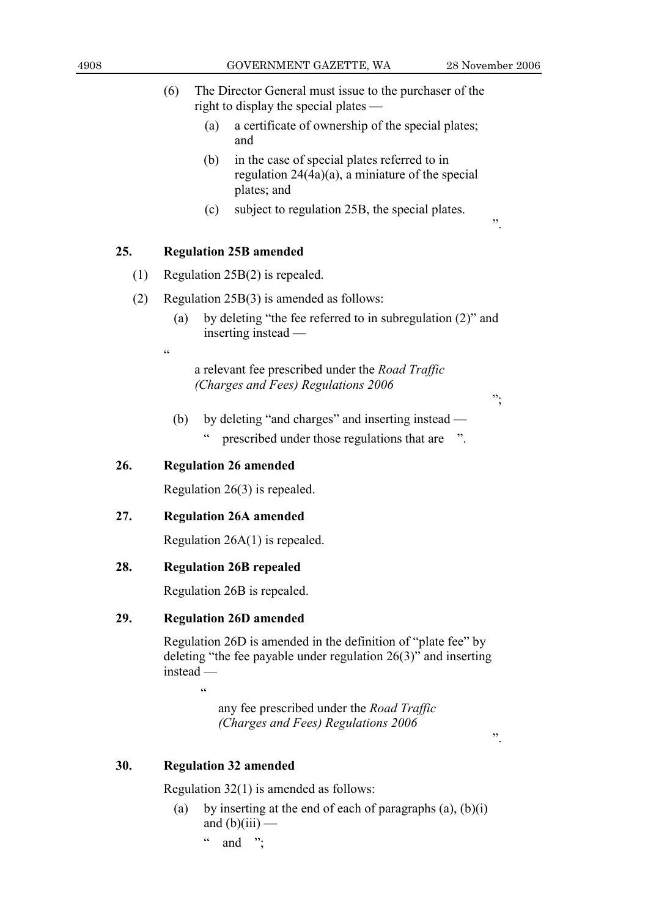- (6) The Director General must issue to the purchaser of the right to display the special plates —
	- (a) a certificate of ownership of the special plates; and
	- (b) in the case of special plates referred to in regulation 24(4a)(a), a miniature of the special plates; and
	- (c) subject to regulation 25B, the special plates.

### **25. Regulation 25B amended**

- (1) Regulation 25B(2) is repealed.
- (2) Regulation 25B(3) is amended as follows:
	- (a) by deleting "the fee referred to in subregulation (2)" and inserting instead
		- a relevant fee prescribed under the *Road Traffic (Charges and Fees) Regulations 2006*

";

 (b) by deleting "and charges" and inserting instead — " prescribed under those regulations that are ".

### **26. Regulation 26 amended**

.<br>cc

Regulation 26(3) is repealed.

### **27. Regulation 26A amended**

Regulation 26A(1) is repealed.

### **28. Regulation 26B repealed**

Regulation 26B is repealed.

### **29. Regulation 26D amended**

 Regulation 26D is amended in the definition of "plate fee" by deleting "the fee payable under regulation 26(3)" and inserting instead —

 $\epsilon$ 

 any fee prescribed under the *Road Traffic (Charges and Fees) Regulations 2006*

".

### **30. Regulation 32 amended**

Regulation 32(1) is amended as follows:

- (a) by inserting at the end of each of paragraphs  $(a)$ ,  $(b)(i)$ and  $(b)(iii)$  —
	- $\alpha$  and "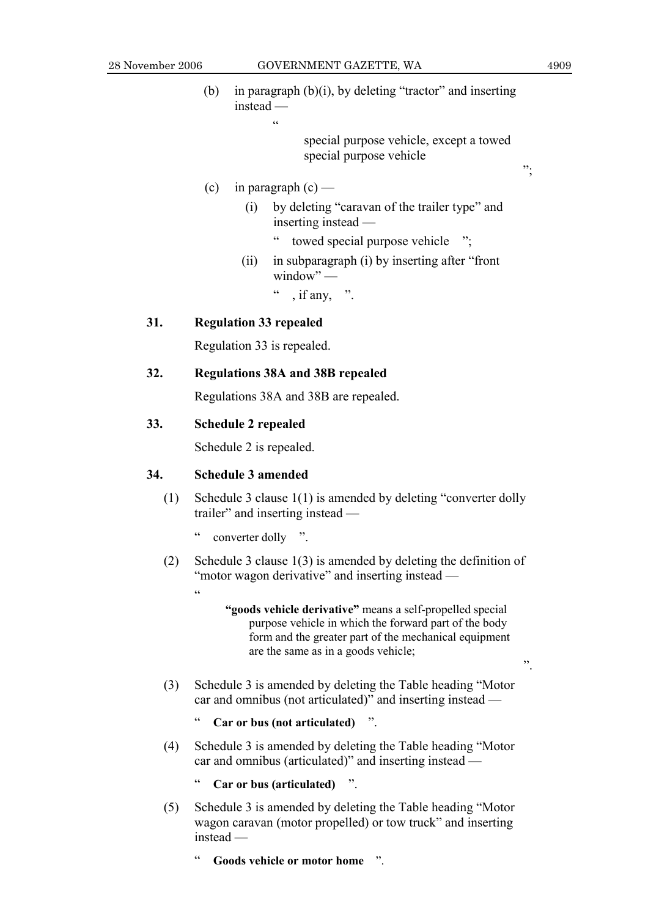(b) in paragraph (b)(i), by deleting "tractor" and inserting instead —  $\alpha$ 

> special purpose vehicle, except a towed special purpose vehicle

- (c) in paragraph  $(c)$ 
	- (i) by deleting "caravan of the trailer type" and inserting instead —
		- " towed special purpose vehicle ";
	- (ii) in subparagraph (i) by inserting after "front  $window"$  —

, if any,  $"$ .

### **31. Regulation 33 repealed**

Regulation 33 is repealed.

### **32. Regulations 38A and 38B repealed**

Regulations 38A and 38B are repealed.

### **33. Schedule 2 repealed**

Schedule 2 is repealed.

### **34. Schedule 3 amended**

.<br>د د

- (1) Schedule 3 clause 1(1) is amended by deleting "converter dolly trailer" and inserting instead
	- converter dolly ".
- (2) Schedule 3 clause 1(3) is amended by deleting the definition of "motor wagon derivative" and inserting instead —
	- **"goods vehicle derivative"** means a self-propelled special purpose vehicle in which the forward part of the body form and the greater part of the mechanical equipment are the same as in a goods vehicle;
- (3) Schedule 3 is amended by deleting the Table heading "Motor car and omnibus (not articulated)" and inserting instead —
	- " **Car or bus (not articulated)** ".
- (4) Schedule 3 is amended by deleting the Table heading "Motor car and omnibus (articulated)" and inserting instead —

" **Car or bus (articulated)** ".

- (5) Schedule 3 is amended by deleting the Table heading "Motor wagon caravan (motor propelled) or tow truck" and inserting instead —
	- " **Goods vehicle or motor home** ".

";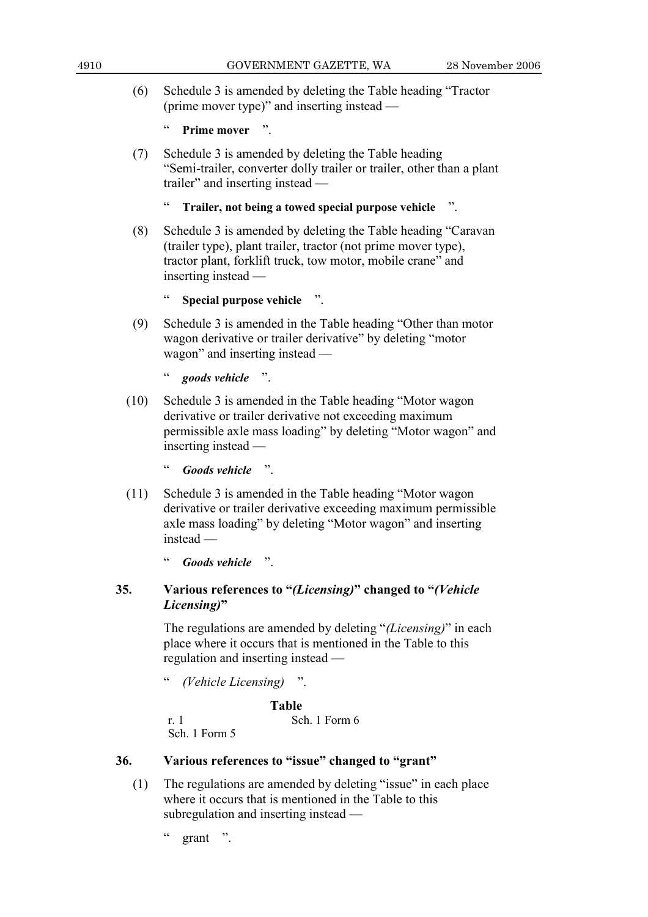(6) Schedule 3 is amended by deleting the Table heading "Tractor (prime mover type)" and inserting instead —

```
Prime mover "
```
 (7) Schedule 3 is amended by deleting the Table heading "Semi-trailer, converter dolly trailer or trailer, other than a plant trailer" and inserting instead —

```
 " Trailer, not being a towed special purpose vehicle ".
```
 (8) Schedule 3 is amended by deleting the Table heading "Caravan (trailer type), plant trailer, tractor (not prime mover type), tractor plant, forklift truck, tow motor, mobile crane" and inserting instead —

```
 " Special purpose vehicle ".
```
 (9) Schedule 3 is amended in the Table heading "Other than motor wagon derivative or trailer derivative" by deleting "motor wagon" and inserting instead —

" *goods vehicle* ".

 (10) Schedule 3 is amended in the Table heading "Motor wagon derivative or trailer derivative not exceeding maximum permissible axle mass loading" by deleting "Motor wagon" and inserting instead —

" *Goods vehicle* ".

 (11) Schedule 3 is amended in the Table heading "Motor wagon derivative or trailer derivative exceeding maximum permissible axle mass loading" by deleting "Motor wagon" and inserting instead —

" *Goods vehicle* ".

## **35. Various references to "***(Licensing)***" changed to "***(Vehicle Licensing)***"**

 The regulations are amended by deleting "*(Licensing)*" in each place where it occurs that is mentioned in the Table to this regulation and inserting instead —

" *(Vehicle Licensing)* ".

 **Table** 

r. 1 Sch. 1 Form 6

Sch. 1 Form 5

## **36. Various references to "issue" changed to "grant"**

 (1) The regulations are amended by deleting "issue" in each place where it occurs that is mentioned in the Table to this subregulation and inserting instead —

grant ".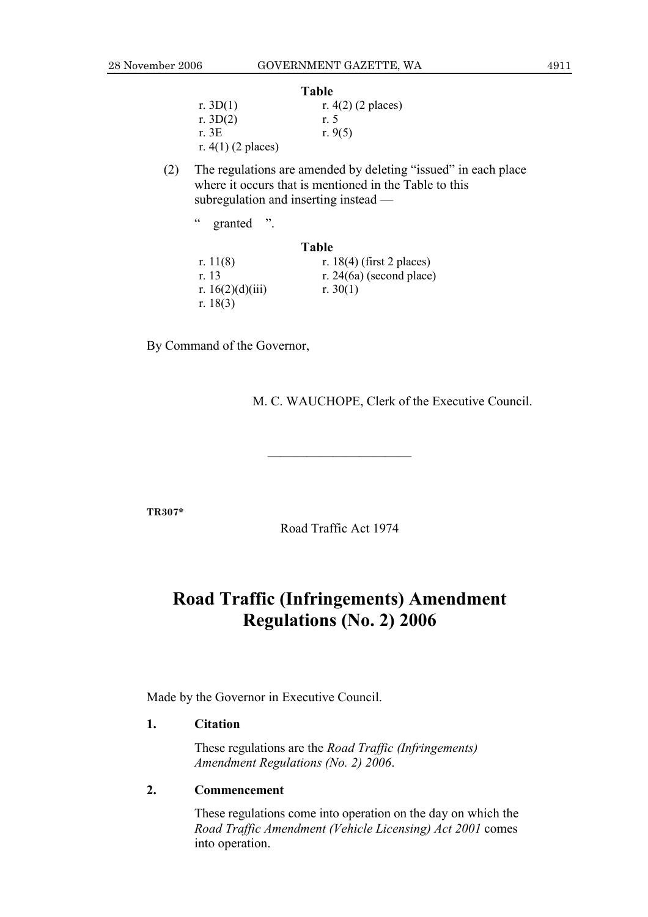### **Table**

|                      | .                    |
|----------------------|----------------------|
| r. $3D(1)$           | r. $4(2)$ (2 places) |
| r. $3D(2)$           | r. 5                 |
| r. 3E                | r. $9(5)$            |
| r. $4(1)$ (2 places) |                      |

 (2) The regulations are amended by deleting "issued" in each place where it occurs that is mentioned in the Table to this subregulation and inserting instead —

| $\epsilon$<br>$\ddot{\phantom{0}}$<br>granted |                             |
|-----------------------------------------------|-----------------------------|
|                                               | <b>Table</b>                |
| r. $11(8)$                                    | r. 18(4) (first 2 places)   |
| r 13                                          | r. 24 $(6a)$ (second place) |
| r. $16(2)(d)(iii)$                            | r. $30(1)$                  |
| r. $18(3)$                                    |                             |

By Command of the Governor,

M. C. WAUCHOPE, Clerk of the Executive Council.

**TR307\*** 

Road Traffic Act 1974

———————————

## **Road Traffic (Infringements) Amendment Regulations (No. 2) 2006**

Made by the Governor in Executive Council.

### **1. Citation**

 These regulations are the *Road Traffic (Infringements) Amendment Regulations (No. 2) 2006*.

### **2. Commencement**

 These regulations come into operation on the day on which the *Road Traffic Amendment (Vehicle Licensing) Act 2001* comes into operation.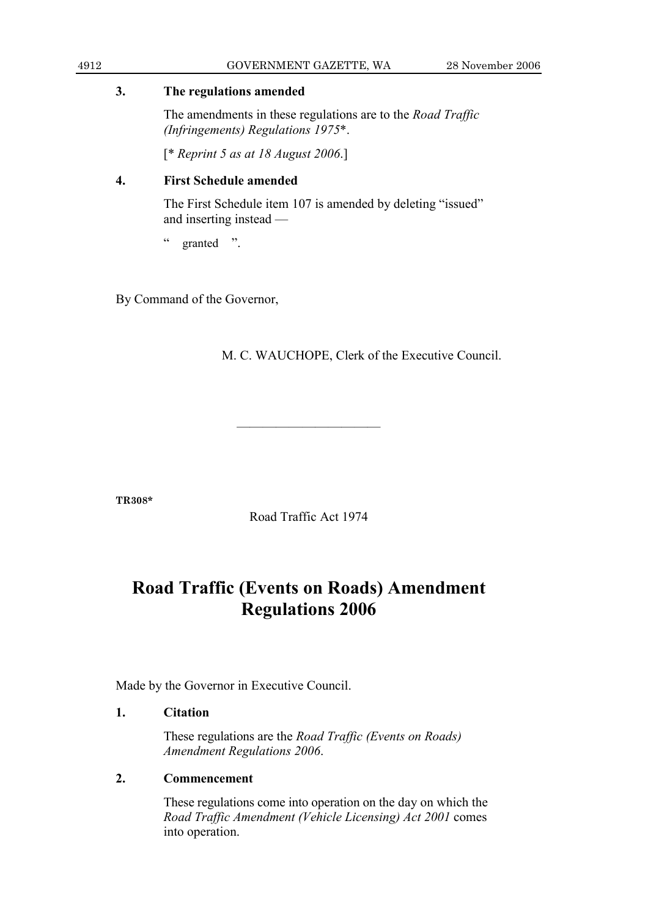### **3. The regulations amended**

 The amendments in these regulations are to the *Road Traffic (Infringements) Regulations 1975*\*.

[\* *Reprint 5 as at 18 August 2006*.]

## **4. First Schedule amended**

 The First Schedule item 107 is amended by deleting "issued" and inserting instead —

" granted ".

By Command of the Governor,

M. C. WAUCHOPE, Clerk of the Executive Council.

**TR308\*** 

Road Traffic Act 1974

———————————

## **Road Traffic (Events on Roads) Amendment Regulations 2006**

Made by the Governor in Executive Council.

## **1. Citation**

 These regulations are the *Road Traffic (Events on Roads) Amendment Regulations 2006*.

## **2. Commencement**

 These regulations come into operation on the day on which the *Road Traffic Amendment (Vehicle Licensing) Act 2001* comes into operation.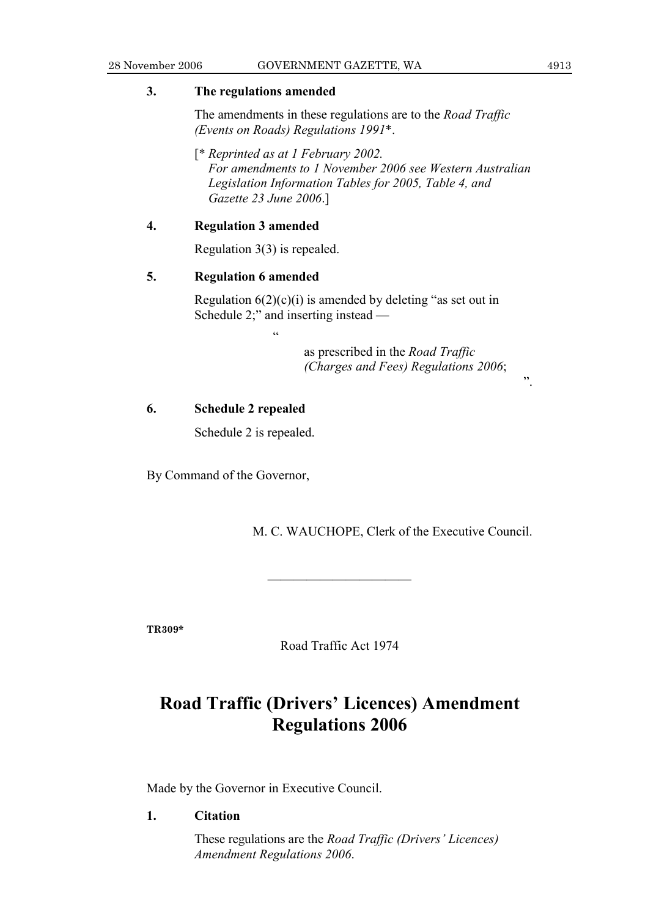### **3. The regulations amended**

 The amendments in these regulations are to the *Road Traffic (Events on Roads) Regulations 1991*\*.

 [\* *Reprinted as at 1 February 2002. For amendments to 1 November 2006 see Western Australian Legislation Information Tables for 2005, Table 4, and Gazette 23 June 2006*.]

### **4. Regulation 3 amended**

Regulation 3(3) is repealed.

"

### **5. Regulation 6 amended**

Regulation  $6(2)(c)(i)$  is amended by deleting "as set out in Schedule 2;" and inserting instead —

> as prescribed in the *Road Traffic (Charges and Fees) Regulations 2006*;

### **6. Schedule 2 repealed**

Schedule 2 is repealed.

By Command of the Governor,

M. C. WAUCHOPE, Clerk of the Executive Council.

**TR309\*** 

Road Traffic Act 1974

———————————

## **Road Traffic (Drivers' Licences) Amendment Regulations 2006**

Made by the Governor in Executive Council.

**1. Citation** 

 These regulations are the *Road Traffic (Drivers' Licences) Amendment Regulations 2006*.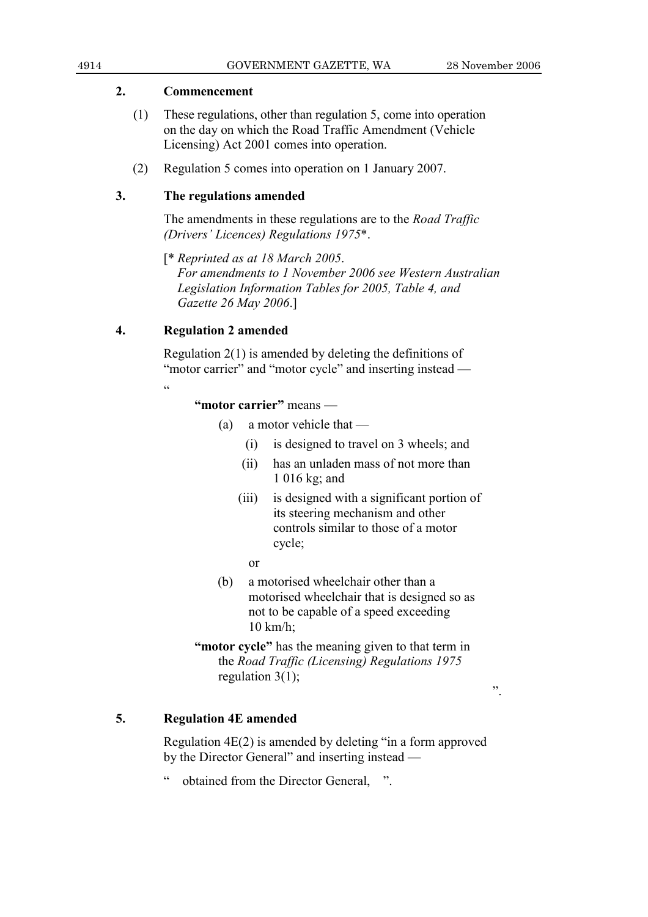### **2. Commencement**

- (1) These regulations, other than regulation 5, come into operation on the day on which the Road Traffic Amendment (Vehicle Licensing) Act 2001 comes into operation.
- (2) Regulation 5 comes into operation on 1 January 2007.

### **3. The regulations amended**

 The amendments in these regulations are to the *Road Traffic (Drivers' Licences) Regulations 1975*\*.

 [\* *Reprinted as at 18 March 2005*.  *For amendments to 1 November 2006 see Western Australian Legislation Information Tables for 2005, Table 4, and Gazette 26 May 2006*.]

### **4. Regulation 2 amended**

 Regulation 2(1) is amended by deleting the definitions of "motor carrier" and "motor cycle" and inserting instead —

"

**"motor carrier"** means —

- (a) a motor vehicle that
	- (i) is designed to travel on 3 wheels; and
	- (ii) has an unladen mass of not more than 1 016 kg; and
	- (iii) is designed with a significant portion of its steering mechanism and other controls similar to those of a motor cycle;
		- or
- (b) a motorised wheelchair other than a motorised wheelchair that is designed so as not to be capable of a speed exceeding 10 km/h;
- **"motor cycle"** has the meaning given to that term in the *Road Traffic (Licensing) Regulations 1975* regulation  $3(1)$ ;

## **5. Regulation 4E amended**

 Regulation 4E(2) is amended by deleting "in a form approved by the Director General" and inserting instead —

obtained from the Director General, ".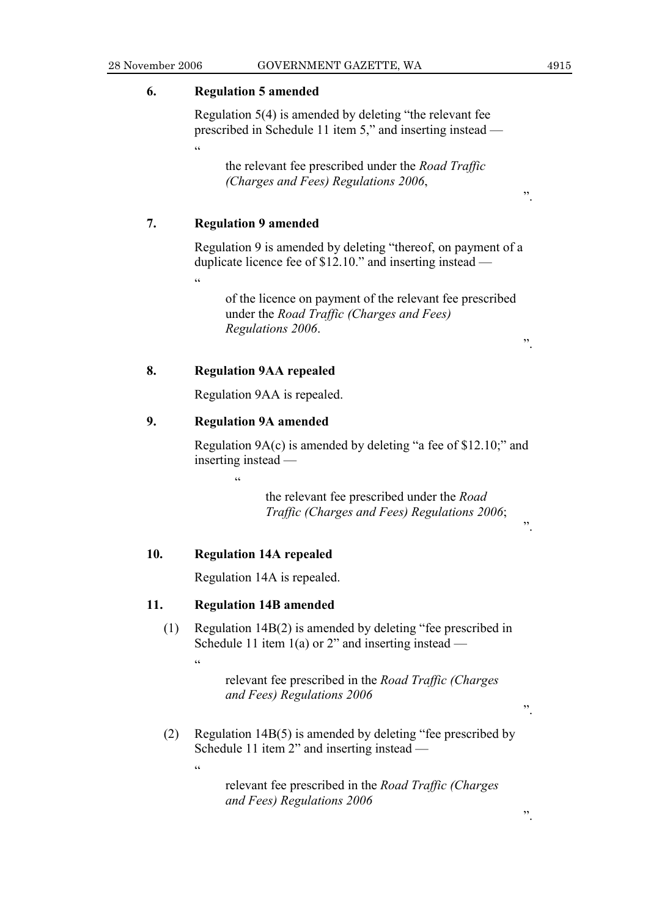### **6. Regulation 5 amended**

 Regulation 5(4) is amended by deleting "the relevant fee prescribed in Schedule 11 item 5," and inserting instead —  $\overline{a}$ 

 the relevant fee prescribed under the *Road Traffic (Charges and Fees) Regulations 2006*,

### **7. Regulation 9 amended**

"

 Regulation 9 is amended by deleting "thereof, on payment of a duplicate licence fee of \$12.10." and inserting instead —

 of the licence on payment of the relevant fee prescribed under the *Road Traffic (Charges and Fees) Regulations 2006*.

### **8. Regulation 9AA repealed**

Regulation 9AA is repealed.

### **9. Regulation 9A amended**

 $\epsilon$ 

 Regulation 9A(c) is amended by deleting "a fee of \$12.10;" and inserting instead —

> the relevant fee prescribed under the *Road Traffic (Charges and Fees) Regulations 2006*;

### **10. Regulation 14A repealed**

Regulation 14A is repealed.

### **11. Regulation 14B amended**

 (1) Regulation 14B(2) is amended by deleting "fee prescribed in Schedule 11 item  $1(a)$  or 2" and inserting instead —

> relevant fee prescribed in the *Road Traffic (Charges and Fees) Regulations 2006*

 (2) Regulation 14B(5) is amended by deleting "fee prescribed by Schedule 11 item 2" and inserting instead —

 $\ddot{\epsilon}$ 

.<br>.<br>.

 relevant fee prescribed in the *Road Traffic (Charges and Fees) Regulations 2006*

".

".

".

".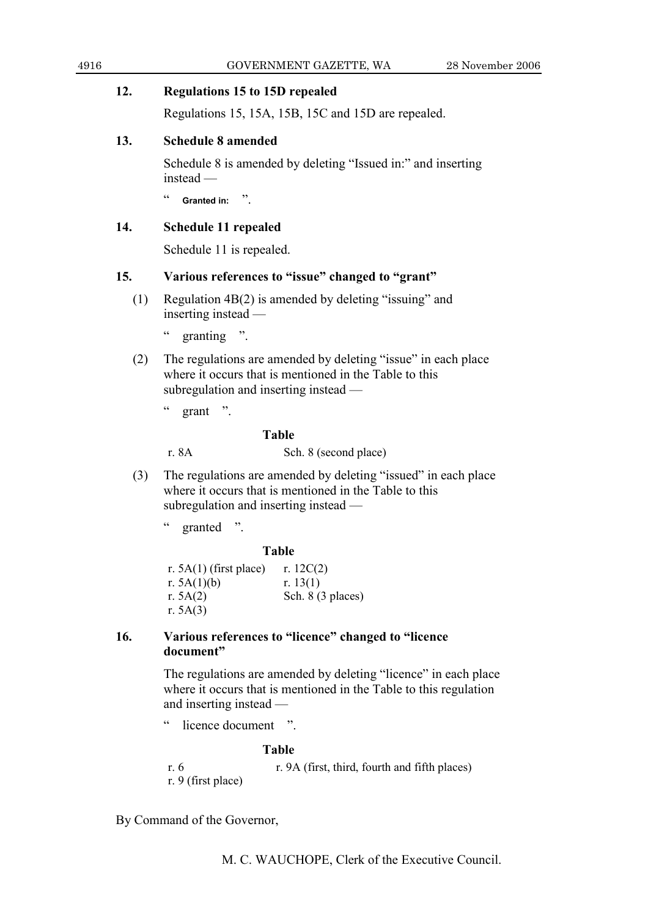### **12. Regulations 15 to 15D repealed**

Regulations 15, 15A, 15B, 15C and 15D are repealed.

## **13. Schedule 8 amended**

 Schedule 8 is amended by deleting "Issued in:" and inserting instead —

" **Granted in:** ".

### **14. Schedule 11 repealed**

Schedule 11 is repealed.

### **15. Various references to "issue" changed to "grant"**

 (1) Regulation 4B(2) is amended by deleting "issuing" and inserting instead —

" granting ".

- (2) The regulations are amended by deleting "issue" in each place where it occurs that is mentioned in the Table to this subregulation and inserting instead —
	- $\degree$  grant ".

### **Table**

r. 8A Sch. 8 (second place)

- (3) The regulations are amended by deleting "issued" in each place where it occurs that is mentioned in the Table to this subregulation and inserting instead —
	- " granted ".

### **Table**

r.  $5A(1)$  (first place) r.  $12C(2)$ r.  $5A(1)(b)$  r.  $13(1)$ r.  $5A(2)$  Sch. 8 (3 places) r. 5A(3)

### **16. Various references to "licence" changed to "licence document"**

 The regulations are amended by deleting "licence" in each place where it occurs that is mentioned in the Table to this regulation and inserting instead —

" licence document ".

### **Table**

r. 6 r. 9A (first, third, fourth and fifth places) r. 9 (first place)

By Command of the Governor,

M. C. WAUCHOPE, Clerk of the Executive Council.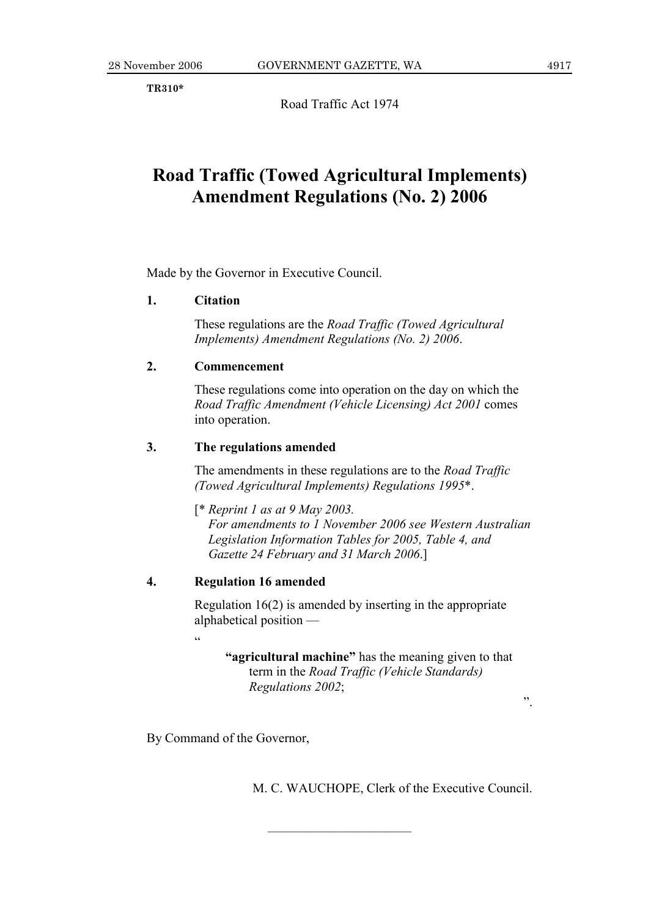**TR310\*** 

Road Traffic Act 1974

## **Road Traffic (Towed Agricultural Implements) Amendment Regulations (No. 2) 2006**

Made by the Governor in Executive Council.

### **1. Citation**

 These regulations are the *Road Traffic (Towed Agricultural Implements) Amendment Regulations (No. 2) 2006*.

### **2. Commencement**

 These regulations come into operation on the day on which the *Road Traffic Amendment (Vehicle Licensing) Act 2001* comes into operation.

### **3. The regulations amended**

 The amendments in these regulations are to the *Road Traffic (Towed Agricultural Implements) Regulations 1995*\*.

 [\* *Reprint 1 as at 9 May 2003. For amendments to 1 November 2006 see Western Australian Legislation Information Tables for 2005, Table 4, and Gazette 24 February and 31 March 2006*.]

### **4. Regulation 16 amended**

.<br>"

 Regulation 16(2) is amended by inserting in the appropriate alphabetical position —

———————————

**"agricultural machine"** has the meaning given to that term in the *Road Traffic (Vehicle Standards) Regulations 2002*;

By Command of the Governor,

M. C. WAUCHOPE, Clerk of the Executive Council.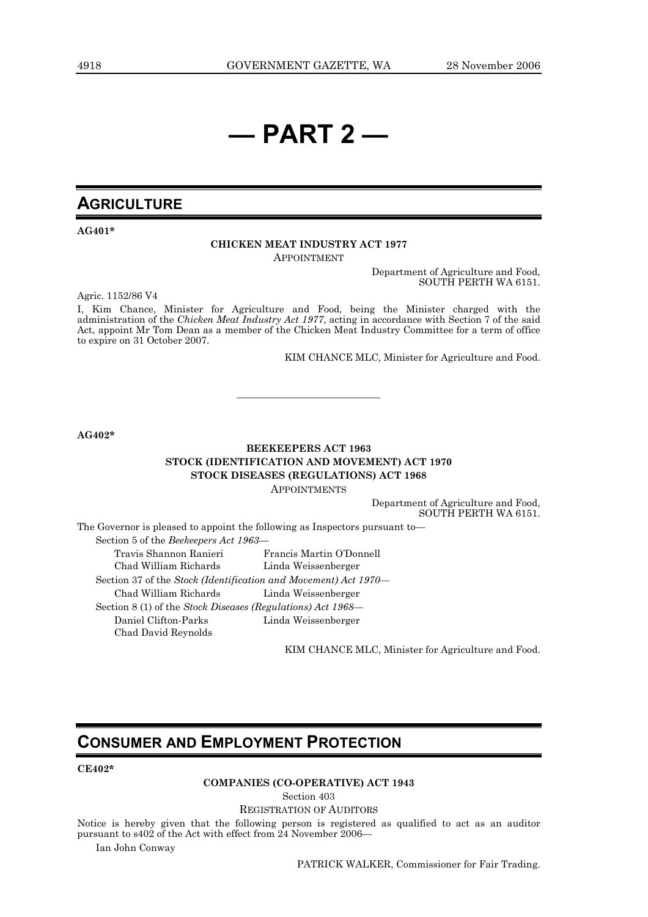# **— PART 2 —**

## **AGRICULTURE**

**AG401\*** 

### **CHICKEN MEAT INDUSTRY ACT 1977**

APPOINTMENT

Department of Agriculture and Food, SOUTH PERTH WA 6151.

Agric. 1152/86 V4

I, Kim Chance, Minister for Agriculture and Food, being the Minister charged with the administration of the *Chicken Meat Industry Act 1977*, acting in accordance with Section 7 of the said Act, appoint Mr Tom Dean as a member of the Chicken Meat Industry Committee for a term of office to expire on 31 October 2007.

———————————

KIM CHANCE MLC, Minister for Agriculture and Food.

**AG402\*** 

### **BEEKEEPERS ACT 1963 STOCK (IDENTIFICATION AND MOVEMENT) ACT 1970 STOCK DISEASES (REGULATIONS) ACT 1968**  APPOINTMENTS

Department of Agriculture and Food, SOUTH PERTH WA 6151.

The Governor is pleased to appoint the following as Inspectors pursuant to— Section 5 of the *Beekeepers Act 1963—* Travis Shannon Ranieri Francis Martin O'Donnell Chad William Richards Linda Weissenberger Section 37 of the *Stock (Identification and Movement) Act 1970—* Chad William Richards Linda Weissenberger Section 8 (1) of the *Stock Diseases (Regulations) Act 1968—* Daniel Clifton-Parks Linda Weissenberger Chad David Reynolds

KIM CHANCE MLC, Minister for Agriculture and Food.

## **CONSUMER AND EMPLOYMENT PROTECTION**

### **CE402\***

### **COMPANIES (CO-OPERATIVE) ACT 1943**

Section 403

### REGISTRATION OF AUDITORS

Notice is hereby given that the following person is registered as qualified to act as an auditor pursuant to s402 of the Act with effect from 24 November 2006—

Ian John Conway

PATRICK WALKER, Commissioner for Fair Trading.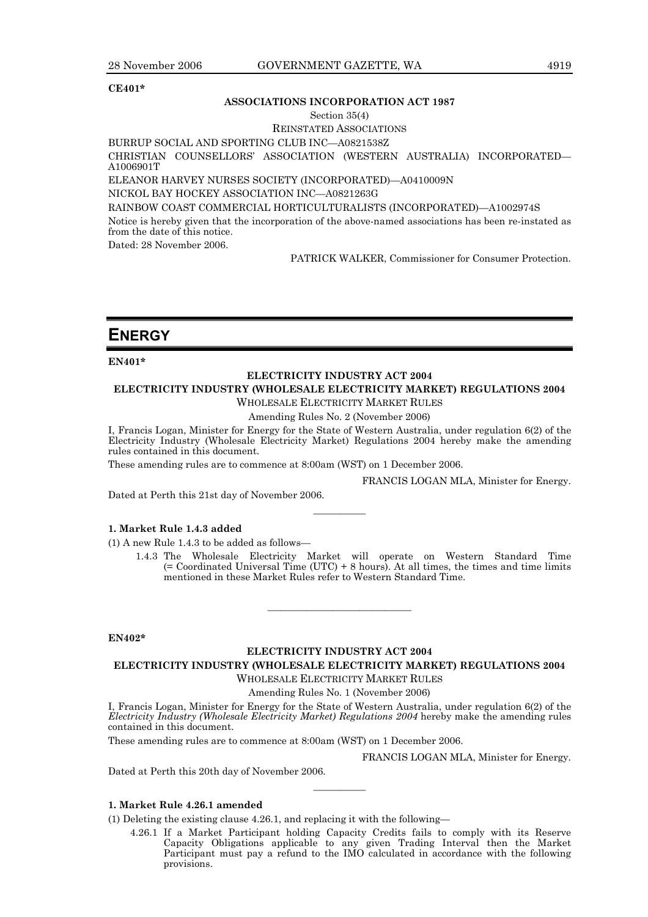### **CE401\***

### **ASSOCIATIONS INCORPORATION ACT 1987**

#### Section 35(4)

### REINSTATED ASSOCIATIONS

BURRUP SOCIAL AND SPORTING CLUB INC—A0821538Z

CHRISTIAN COUNSELLORS' ASSOCIATION (WESTERN AUSTRALIA) INCORPORATED— A1006901T

ELEANOR HARVEY NURSES SOCIETY (INCORPORATED)—A0410009N

NICKOL BAY HOCKEY ASSOCIATION INC—A0821263G

RAINBOW COAST COMMERCIAL HORTICULTURALISTS (INCORPORATED)—A1002974S

Notice is hereby given that the incorporation of the above-named associations has been re-instated as from the date of this notice.

Dated: 28 November 2006.

PATRICK WALKER, Commissioner for Consumer Protection.

## **ENERGY**

**EN401\*** 

### **ELECTRICITY INDUSTRY ACT 2004**

### **ELECTRICITY INDUSTRY (WHOLESALE ELECTRICITY MARKET) REGULATIONS 2004**

WHOLESALE ELECTRICITY MARKET RULES

Amending Rules No. 2 (November 2006)

I, Francis Logan, Minister for Energy for the State of Western Australia, under regulation 6(2) of the Electricity Industry (Wholesale Electricity Market) Regulations 2004 hereby make the amending rules contained in this document.

————

These amending rules are to commence at 8:00am (WST) on 1 December 2006.

FRANCIS LOGAN MLA, Minister for Energy.

Dated at Perth this 21st day of November 2006.

### **1. Market Rule 1.4.3 added**

(1) A new Rule 1.4.3 to be added as follows—

 1.4.3 The Wholesale Electricity Market will operate on Western Standard Time (= Coordinated Universal Time (UTC) + 8 hours). At all times, the times and time limits mentioned in these Market Rules refer to Western Standard Time.

### **EN402\***

### **ELECTRICITY INDUSTRY ACT 2004 ELECTRICITY INDUSTRY (WHOLESALE ELECTRICITY MARKET) REGULATIONS 2004**

———————————

WHOLESALE ELECTRICITY MARKET RULES

Amending Rules No. 1 (November 2006)

I, Francis Logan, Minister for Energy for the State of Western Australia, under regulation 6(2) of the *Electricity Industry (Wholesale Electricity Market) Regulations 2004* hereby make the amending rules contained in this document.

————

These amending rules are to commence at 8:00am (WST) on 1 December 2006.

FRANCIS LOGAN MLA, Minister for Energy.

Dated at Perth this 20th day of November 2006.

### **1. Market Rule 4.26.1 amended**

(1) Deleting the existing clause 4.26.1, and replacing it with the following—

 4.26.1 If a Market Participant holding Capacity Credits fails to comply with its Reserve Capacity Obligations applicable to any given Trading Interval then the Market Participant must pay a refund to the IMO calculated in accordance with the following provisions.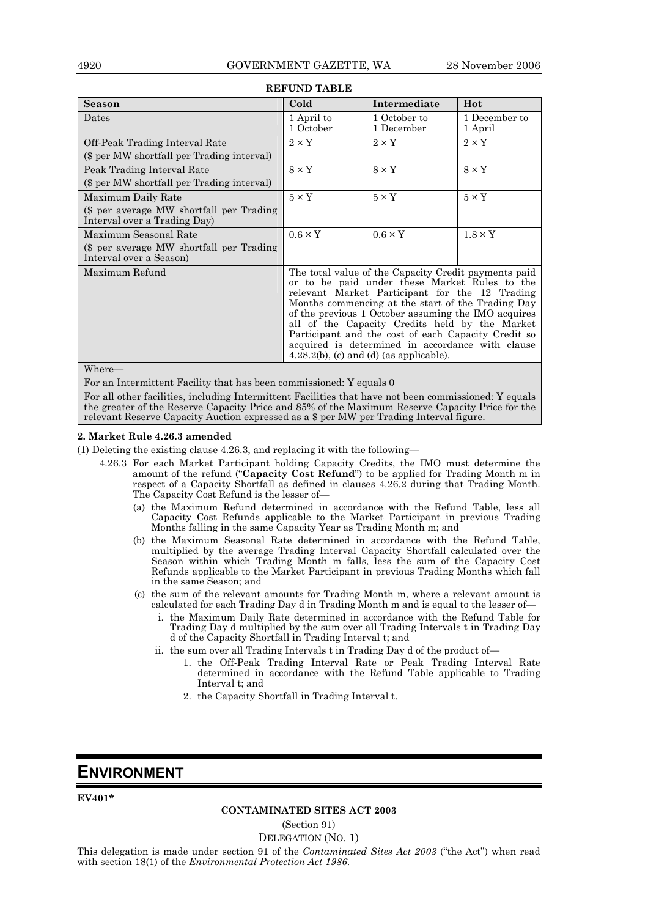| <b>Season</b>                                                                                   | Cold                                                                                                                                                                                                                                                                                                                                                                                                                                                                           | Intermediate               | Hot                      |
|-------------------------------------------------------------------------------------------------|--------------------------------------------------------------------------------------------------------------------------------------------------------------------------------------------------------------------------------------------------------------------------------------------------------------------------------------------------------------------------------------------------------------------------------------------------------------------------------|----------------------------|--------------------------|
| Dates                                                                                           | 1 April to<br>1 October                                                                                                                                                                                                                                                                                                                                                                                                                                                        | 1 October to<br>1 December | 1 December to<br>1 April |
| Off-Peak Trading Interval Rate<br>(\$ per MW shortfall per Trading interval)                    | $2 \times Y$                                                                                                                                                                                                                                                                                                                                                                                                                                                                   | $2 \times Y$               | $2 \times Y$             |
| Peak Trading Interval Rate<br>(\$ per MW shortfall per Trading interval)                        | $8 \times Y$                                                                                                                                                                                                                                                                                                                                                                                                                                                                   | $8 \times Y$               | $8 \times Y$             |
| Maximum Daily Rate<br>(\$ per average MW shortfall per Trading)<br>Interval over a Trading Day) | $5 \times Y$                                                                                                                                                                                                                                                                                                                                                                                                                                                                   | $5 \times Y$               | $5 \times Y$             |
| Maximum Seasonal Rate<br>(\$ per average MW shortfall per Trading)<br>Interval over a Season)   | $0.6 \times Y$                                                                                                                                                                                                                                                                                                                                                                                                                                                                 | $0.6 \times Y$             | $1.8 \times Y$           |
| Maximum Refund                                                                                  | The total value of the Capacity Credit payments paid<br>or to be paid under these Market Rules to the<br>relevant Market Participant for the 12 Trading<br>Months commencing at the start of the Trading Day<br>of the previous 1 October assuming the IMO acquires<br>all of the Capacity Credits held by the Market<br>Participant and the cost of each Capacity Credit so<br>acquired is determined in accordance with clause<br>$4.28.2(b)$ , (c) and (d) (as applicable). |                            |                          |

### **REFUND TABLE**

Where—

For an Intermittent Facility that has been commissioned: Y equals 0

For all other facilities, including Intermittent Facilities that have not been commissioned: Y equals the greater of the Reserve Capacity Price and 85% of the Maximum Reserve Capacity Price for the relevant Reserve Capacity Auction expressed as a \$ per MW per Trading Interval figure.

### **2. Market Rule 4.26.3 amended**

(1) Deleting the existing clause 4.26.3, and replacing it with the following—

- 4.26.3 For each Market Participant holding Capacity Credits, the IMO must determine the amount of the refund ("**Capacity Cost Refund**") to be applied for Trading Month m in respect of a Capacity Shortfall as defined in clauses 4.26.2 during that Trading Month. The Capacity Cost Refund is the lesser of—
	- (a) the Maximum Refund determined in accordance with the Refund Table, less all Capacity Cost Refunds applicable to the Market Participant in previous Trading Months falling in the same Capacity Year as Trading Month m; and
	- (b) the Maximum Seasonal Rate determined in accordance with the Refund Table, multiplied by the average Trading Interval Capacity Shortfall calculated over the Season within which Trading Month m falls, less the sum of the Capacity Cost Refunds applicable to the Market Participant in previous Trading Months which fall in the same Season; and
	- (c) the sum of the relevant amounts for Trading Month m, where a relevant amount is calculated for each Trading Day d in Trading Month m and is equal to the lesser of
		- i. the Maximum Daily Rate determined in accordance with the Refund Table for Trading Day d multiplied by the sum over all Trading Intervals t in Trading Day d of the Capacity Shortfall in Trading Interval t; and
		- ii. the sum over all Trading Intervals t in Trading Day d of the product of—
			- 1. the Off-Peak Trading Interval Rate or Peak Trading Interval Rate determined in accordance with the Refund Table applicable to Trading Interval t; and
			- 2. the Capacity Shortfall in Trading Interval t.

## **ENVIRONMENT**

**EV401\*** 

### **CONTAMINATED SITES ACT 2003**

(Section 91) DELEGATION (NO. 1)

This delegation is made under section 91 of the *Contaminated Sites Act 2003* ("the Act") when read with section 18(1) of the *Environmental Protection Act 1986*.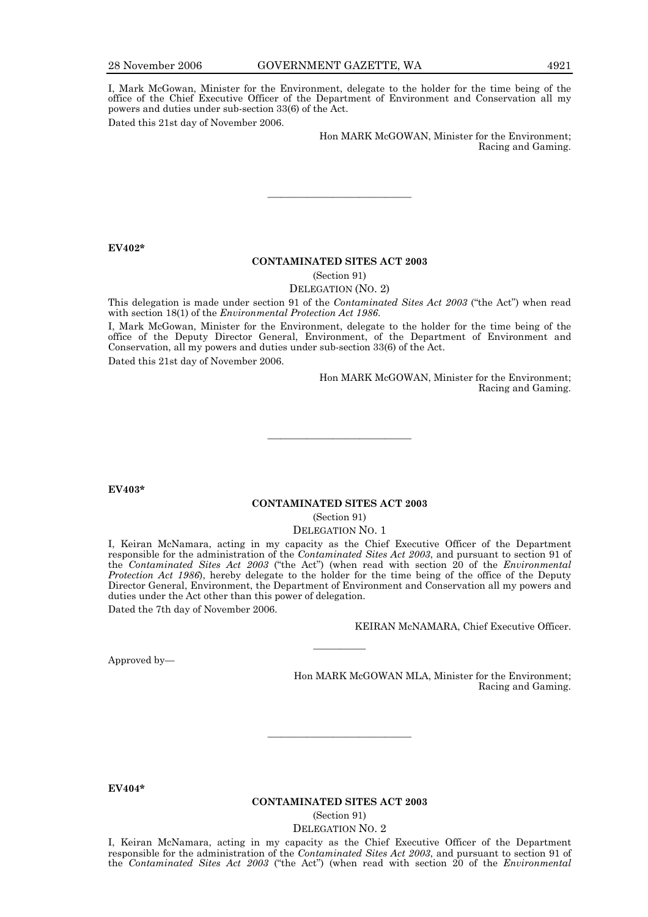I, Mark McGowan, Minister for the Environment, delegate to the holder for the time being of the office of the Chief Executive Officer of the Department of Environment and Conservation all my powers and duties under sub-section 33(6) of the Act. Dated this 21st day of November 2006.

> Hon MARK McGOWAN, Minister for the Environment; Racing and Gaming.

### **EV402\***

#### **CONTAMINATED SITES ACT 2003**

———————————

(Section 91)

DELEGATION (NO. 2)

This delegation is made under section 91 of the *Contaminated Sites Act 2003* ("the Act") when read with section 18(1) of the *Environmental Protection Act 1986*.

I, Mark McGowan, Minister for the Environment, delegate to the holder for the time being of the office of the Deputy Director General, Environment, of the Department of Environment and Conservation, all my powers and duties under sub-section 33(6) of the Act.

Dated this 21st day of November 2006.

Hon MARK McGOWAN, Minister for the Environment; Racing and Gaming.

**EV403\*** 

### **CONTAMINATED SITES ACT 2003**  (Section 91)

———————————

DELEGATION NO. 1

I, Keiran McNamara, acting in my capacity as the Chief Executive Officer of the Department responsible for the administration of the *Contaminated Sites Act 2003*, and pursuant to section 91 of the *Contaminated Sites Act 2003* ("the Act") (when read with section 20 of the *Environmental Protection Act 1986*), hereby delegate to the holder for the time being of the office of the Deputy Director General, Environment, the Department of Environment and Conservation all my powers and duties under the Act other than this power of delegation.

————

Dated the 7th day of November 2006.

KEIRAN McNAMARA, Chief Executive Officer.

Approved by—

Hon MARK McGOWAN MLA, Minister for the Environment; Racing and Gaming.

**EV404\*** 

#### **CONTAMINATED SITES ACT 2003**

———————————

(Section 91)

DELEGATION NO. 2

I, Keiran McNamara, acting in my capacity as the Chief Executive Officer of the Department responsible for the administration of the *Contaminated Sites Act 2003*, and pursuant to section 91 of the *Contaminated Sites Act 2003* ("the Act") (when read with section 20 of the *Environmental*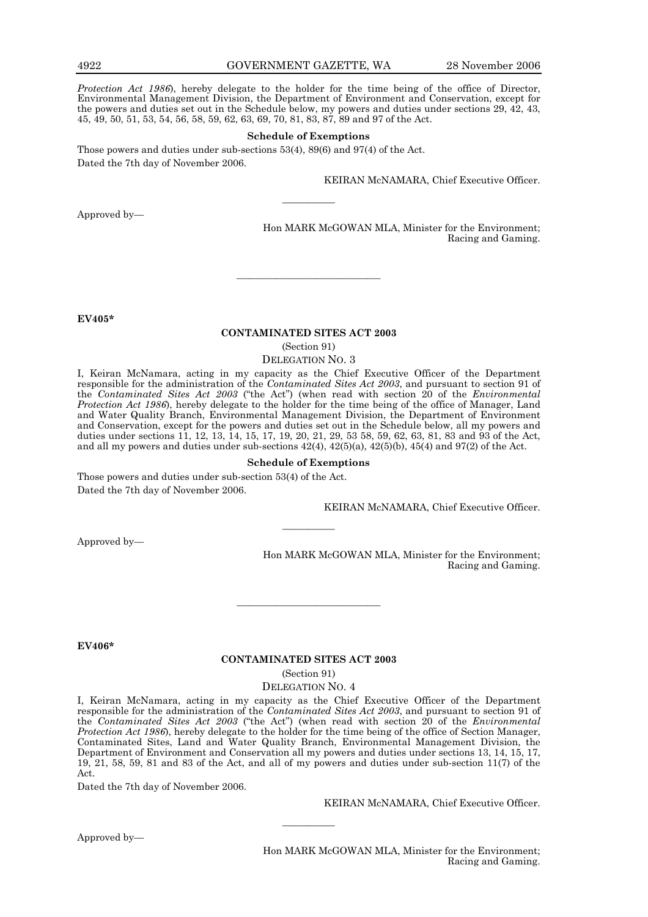4922 GOVERNMENT GAZETTE, WA 28 November 2006

*Protection Act 1986*), hereby delegate to the holder for the time being of the office of Director, Environmental Management Division, the Department of Environment and Conservation, except for the powers and duties set out in the Schedule below, my powers and duties under sections 29, 42, 43, 45, 49, 50, 51, 53, 54, 56, 58, 59, 62, 63, 69, 70, 81, 83, 87, 89 and 97 of the Act.

#### **Schedule of Exemptions**

————

Those powers and duties under sub-sections 53(4), 89(6) and 97(4) of the Act. Dated the 7th day of November 2006.

KEIRAN McNAMARA, Chief Executive Officer.

Approved by—

Hon MARK McGOWAN MLA, Minister for the Environment; Racing and Gaming.

**EV405\*** 

### **CONTAMINATED SITES ACT 2003**

———————————

(Section 91)

DELEGATION NO. 3

I, Keiran McNamara, acting in my capacity as the Chief Executive Officer of the Department responsible for the administration of the *Contaminated Sites Act 2003*, and pursuant to section 91 of the *Contaminated Sites Act 2003* ("the Act") (when read with section 20 of the *Environmental Protection Act 1986*), hereby delegate to the holder for the time being of the office of Manager, Land and Water Quality Branch, Environmental Management Division, the Department of Environment and Conservation, except for the powers and duties set out in the Schedule below, all my powers and duties under sections 11, 12, 13, 14, 15, 17, 19, 20, 21, 29, 53 58, 59, 62, 63, 81, 83 and 93 of the Act, and all my powers and duties under sub-sections  $42(4)$ ,  $42(5)(a)$ ,  $42(5)(b)$ ,  $45(4)$  and  $97(2)$  of the Act.

#### **Schedule of Exemptions**

————

Those powers and duties under sub-section 53(4) of the Act. Dated the 7th day of November 2006.

KEIRAN McNAMARA, Chief Executive Officer.

Approved by—

Hon MARK McGOWAN MLA, Minister for the Environment; Racing and Gaming.

**EV406\*** 

#### **CONTAMINATED SITES ACT 2003**

———————————

(Section 91)

DELEGATION NO. 4

I, Keiran McNamara, acting in my capacity as the Chief Executive Officer of the Department responsible for the administration of the *Contaminated Sites Act 2003*, and pursuant to section 91 of the *Contaminated Sites Act 2003* ("the Act") (when read with section 20 of the *Environmental Protection Act 1986*), hereby delegate to the holder for the time being of the office of Section Manager, Contaminated Sites, Land and Water Quality Branch, Environmental Management Division, the Department of Environment and Conservation all my powers and duties under sections 13, 14, 15, 17, 19, 21, 58, 59, 81 and 83 of the Act, and all of my powers and duties under sub-section 11(7) of the Act.

————

Dated the 7th day of November 2006.

KEIRAN McNAMARA, Chief Executive Officer.

Approved by—

Hon MARK McGOWAN MLA, Minister for the Environment; Racing and Gaming.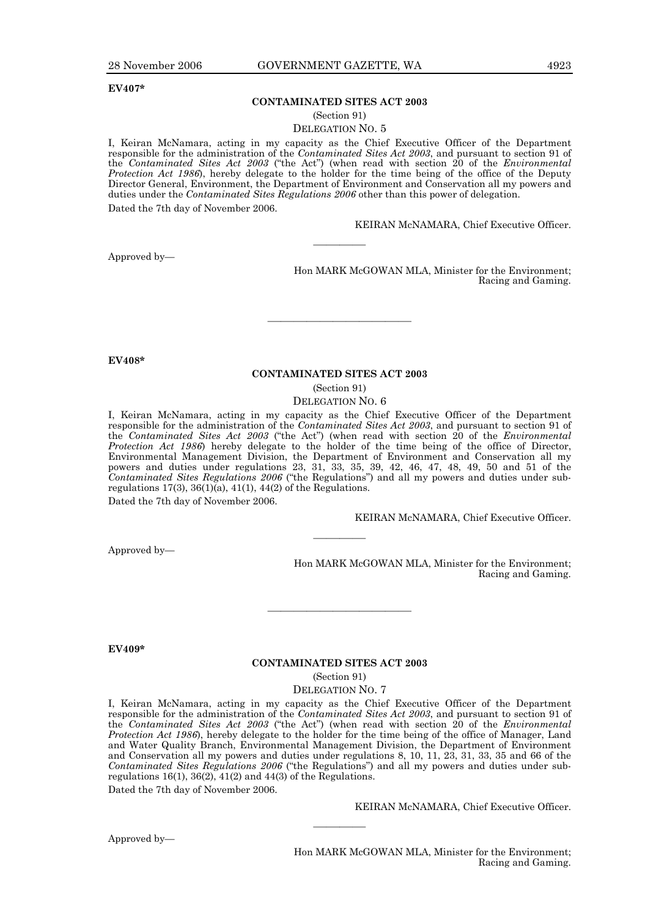### **CONTAMINATED SITES ACT 2003**

(Section 91)

DELEGATION NO. 5

I, Keiran McNamara, acting in my capacity as the Chief Executive Officer of the Department responsible for the administration of the *Contaminated Sites Act 2003*, and pursuant to section 91 of the *Contaminated Sites Act 2003* ("the Act") (when read with section 20 of the *Environmental Protection Act 1986*), hereby delegate to the holder for the time being of the office of the Deputy Director General, Environment, the Department of Environment and Conservation all my powers and duties under the *Contaminated Sites Regulations 2006* other than this power of delegation. Dated the 7th day of November 2006.

————

KEIRAN McNAMARA, Chief Executive Officer.

Approved by—

Hon MARK McGOWAN MLA, Minister for the Environment; Racing and Gaming.

**EV408\*** 

### **CONTAMINATED SITES ACT 2003**

———————————

(Section 91)

DELEGATION NO. 6

I, Keiran McNamara, acting in my capacity as the Chief Executive Officer of the Department responsible for the administration of the *Contaminated Sites Act 2003*, and pursuant to section 91 of the *Contaminated Sites Act 2003* ("the Act") (when read with section 20 of the *Environmental Protection Act 1986*) hereby delegate to the holder of the time being of the office of Director, Environmental Management Division, the Department of Environment and Conservation all my powers and duties under regulations 23, 31, 33, 35, 39, 42, 46, 47, 48, 49, 50 and 51 of the *Contaminated Sites Regulations 2006* ("the Regulations") and all my powers and duties under subregulations  $17(3)$ ,  $36(1)(a)$ ,  $41(1)$ ,  $44(2)$  of the Regulations.

————

Dated the 7th day of November 2006.

KEIRAN McNAMARA, Chief Executive Officer.

Approved by—

Hon MARK McGOWAN MLA, Minister for the Environment; Racing and Gaming.

**EV409\*** 

#### **CONTAMINATED SITES ACT 2003**

———————————

(Section 91)

DELEGATION NO. 7

I, Keiran McNamara, acting in my capacity as the Chief Executive Officer of the Department responsible for the administration of the *Contaminated Sites Act 2003*, and pursuant to section 91 of the *Contaminated Sites Act 2003* ("the Act") (when read with section 20 of the *Environmental Protection Act 1986*), hereby delegate to the holder for the time being of the office of Manager, Land and Water Quality Branch, Environmental Management Division, the Department of Environment and Conservation all my powers and duties under regulations 8, 10, 11, 23, 31, 33, 35 and 66 of the *Contaminated Sites Regulations 2006* ("the Regulations") and all my powers and duties under subregulations  $16(1)$ ,  $36(2)$ ,  $41(2)$  and  $44(3)$  of the Regulations.

————

Dated the 7th day of November 2006.

KEIRAN McNAMARA, Chief Executive Officer.

Approved by—

Hon MARK McGOWAN MLA, Minister for the Environment; Racing and Gaming.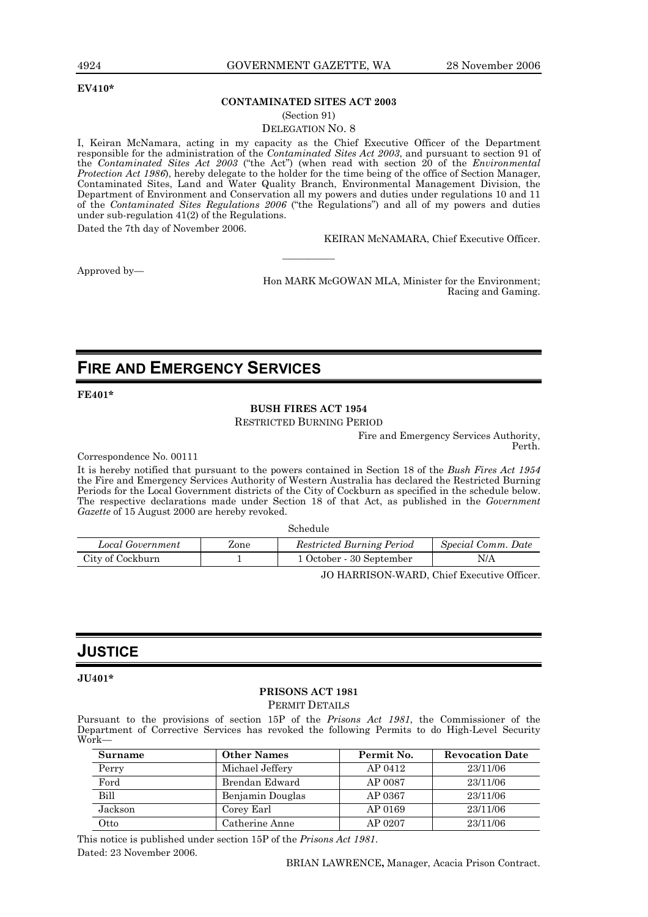#### **EV410\***

### **CONTAMINATED SITES ACT 2003**

(Section 91)

DELEGATION NO. 8

I, Keiran McNamara, acting in my capacity as the Chief Executive Officer of the Department responsible for the administration of the *Contaminated Sites Act 2003*, and pursuant to section 91 of the *Contaminated Sites Act 2003* ("the Act") (when read with section 20 of the *Environmental Protection Act 1986*), hereby delegate to the holder for the time being of the office of Section Manager, Contaminated Sites, Land and Water Quality Branch, Environmental Management Division, the Department of Environment and Conservation all my powers and duties under regulations 10 and 11 of the *Contaminated Sites Regulations 2006* ("the Regulations") and all of my powers and duties under sub-regulation 41(2) of the Regulations.

————

Dated the 7th day of November 2006.

KEIRAN McNAMARA, Chief Executive Officer.

Approved by—

Hon MARK McGOWAN MLA, Minister for the Environment; Racing and Gaming.

## **FIRE AND EMERGENCY SERVICES**

**FE401\*** 

### **BUSH FIRES ACT 1954**

RESTRICTED BURNING PERIOD

Fire and Emergency Services Authority, Perth.

Correspondence No. 00111

It is hereby notified that pursuant to the powers contained in Section 18 of the *Bush Fires Act 1954* the Fire and Emergency Services Authority of Western Australia has declared the Restricted Burning Periods for the Local Government districts of the City of Cockburn as specified in the schedule below. The respective declarations made under Section 18 of that Act, as published in the *Government Gazette* of 15 August 2000 are hereby revoked.

Schedule

| Local Government | Zone | <b>Restricted Burning Period</b> | Special Comm. Date |
|------------------|------|----------------------------------|--------------------|
| City of Cockburn |      | 1 October - 30 September         | N/A                |

JO HARRISON-WARD, Chief Executive Officer.

## **JUSTICE**

**JU401\*** 

## **PRISONS ACT 1981**

PERMIT DETAILS

Pursuant to the provisions of section 15P of the *Prisons Act 1981*, the Commissioner of the Department of Corrective Services has revoked the following Permits to do High-Level Security Work—

| Surname     | <b>Other Names</b> | Permit No. | <b>Revocation Date</b> |
|-------------|--------------------|------------|------------------------|
| Perry       | Michael Jeffery    | AP 0412    | 23/11/06               |
| Ford        | Brendan Edward     | AP 0087    | 23/11/06               |
| <b>Bill</b> | Benjamin Douglas   | AP 0367    | 23/11/06               |
| Jackson     | Corey Earl         | AP 0169    | 23/11/06               |
| Otto        | Catherine Anne     | AP 0207    | 23/11/06               |

This notice is published under section 15P of the *Prisons Act 1981*. Dated: 23 November 2006.

BRIAN LAWRENCE**,** Manager, Acacia Prison Contract.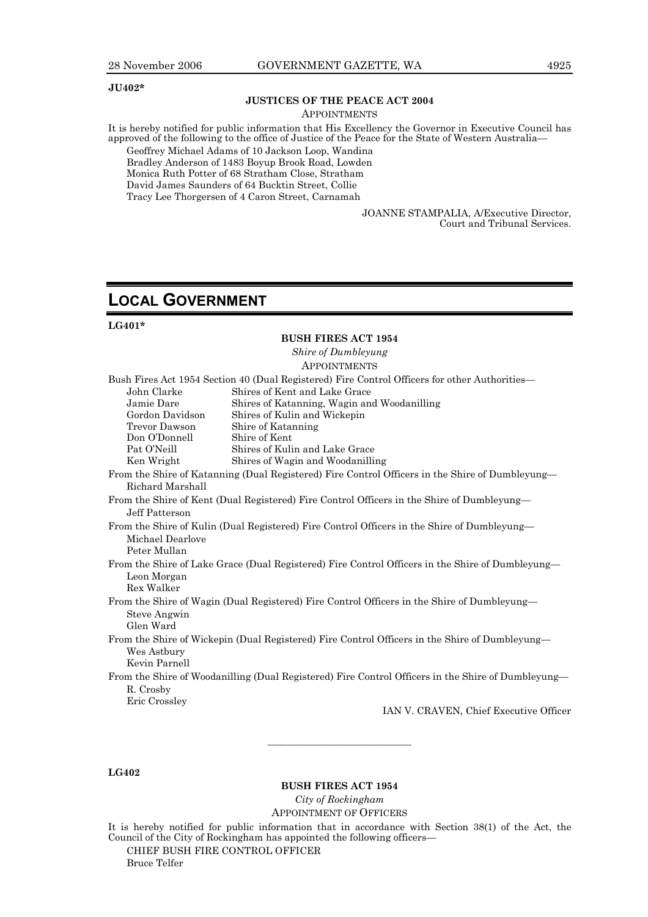### **JU402\***

## **JUSTICES OF THE PEACE ACT 2004**

**APPOINTMENTS** 

It is hereby notified for public information that His Excellency the Governor in Executive Council has approved of the following to the office of Justice of the Peace for the State of Western Australia—

Geoffrey Michael Adams of 10 Jackson Loop, Wandina Bradley Anderson of 1483 Boyup Brook Road, Lowden Monica Ruth Potter of 68 Stratham Close, Stratham David James Saunders of 64 Bucktin Street, Collie Tracy Lee Thorgersen of 4 Caron Street, Carnamah

> JOANNE STAMPALIA, A/Executive Director, Court and Tribunal Services.

## **LOCAL GOVERNMENT**

### **LG401\***

### **BUSH FIRES ACT 1954**  *Shire of Dumbleyung*  **APPOINTMENTS** Bush Fires Act 1954 Section 40 (Dual Registered) Fire Control Officers for other Authorities— John Clarke Shires of Kent and Lake Grace Jamie Dare Shires of Katanning, Wagin and Woodanilling Gordon Davidson Shires of Kulin and Wickepin Trevor Dawson Shire of Katanning Don O'Donnell Shire of Kent Pat O'Neill Shires of Kulin and Lake Grace Ken Wright Shires of Wagin and Woodanilling From the Shire of Katanning (Dual Registered) Fire Control Officers in the Shire of Dumbleyung— Richard Marshall From the Shire of Kent (Dual Registered) Fire Control Officers in the Shire of Dumbleyung— Jeff Patterson From the Shire of Kulin (Dual Registered) Fire Control Officers in the Shire of Dumbleyung— Michael Dearlove Peter Mullan From the Shire of Lake Grace (Dual Registered) Fire Control Officers in the Shire of Dumbleyung— Leon Morgan Rex Walker From the Shire of Wagin (Dual Registered) Fire Control Officers in the Shire of Dumbleyung— Steve Angwin Glen Ward From the Shire of Wickepin (Dual Registered) Fire Control Officers in the Shire of Dumbleyung— Wes Astbury Kevin Parnell From the Shire of Woodanilling (Dual Registered) Fire Control Officers in the Shire of Dumbleyung— R. Crosby Eric Crossley IAN V. CRAVEN, Chief Executive Officer

### **LG402**

**BUSH FIRES ACT 1954**  *City of Rockingham*  APPOINTMENT OF OFFICERS

———————————

It is hereby notified for public information that in accordance with Section 38(1) of the Act, the Council of the City of Rockingham has appointed the following officers— CHIEF BUSH FIRE CONTROL OFFICER

Bruce Telfer